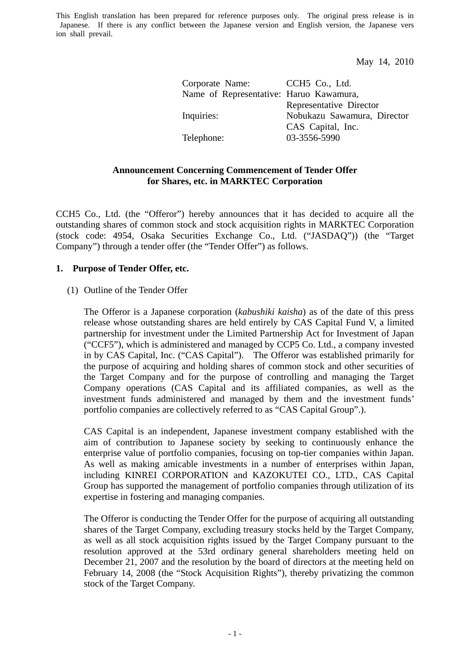May 14, 2010

| CCH <sub>5</sub> Co., Ltd.              |
|-----------------------------------------|
| Name of Representative: Haruo Kawamura, |
| Representative Director                 |
| Nobukazu Sawamura, Director             |
| CAS Capital, Inc.                       |
| 03-3556-5990                            |
|                                         |

## **Announcement Concerning Commencement of Tender Offer for Shares, etc. in MARKTEC Corporation**

CCH5 Co., Ltd. (the "Offeror") hereby announces that it has decided to acquire all the outstanding shares of common stock and stock acquisition rights in MARKTEC Corporation (stock code: 4954, Osaka Securities Exchange Co., Ltd. ("JASDAQ")) (the "Target Company") through a tender offer (the "Tender Offer") as follows.

## **1. Purpose of Tender Offer, etc.**

### (1) Outline of the Tender Offer

The Offeror is a Japanese corporation (*kabushiki kaisha*) as of the date of this press release whose outstanding shares are held entirely by CAS Capital Fund V, a limited partnership for investment under the Limited Partnership Act for Investment of Japan ("CCF5"), which is administered and managed by CCP5 Co. Ltd., a company invested in by CAS Capital, Inc. ("CAS Capital"). The Offeror was established primarily for the purpose of acquiring and holding shares of common stock and other securities of the Target Company and for the purpose of controlling and managing the Target Company operations (CAS Capital and its affiliated companies, as well as the investment funds administered and managed by them and the investment funds' portfolio companies are collectively referred to as "CAS Capital Group".).

CAS Capital is an independent, Japanese investment company established with the aim of contribution to Japanese society by seeking to continuously enhance the enterprise value of portfolio companies, focusing on top-tier companies within Japan. As well as making amicable investments in a number of enterprises within Japan, including KINREI CORPORATION and KAZOKUTEI CO., LTD., CAS Capital Group has supported the management of portfolio companies through utilization of its expertise in fostering and managing companies.

The Offeror is conducting the Tender Offer for the purpose of acquiring all outstanding shares of the Target Company, excluding treasury stocks held by the Target Company, as well as all stock acquisition rights issued by the Target Company pursuant to the resolution approved at the 53rd ordinary general shareholders meeting held on December 21, 2007 and the resolution by the board of directors at the meeting held on February 14, 2008 (the "Stock Acquisition Rights"), thereby privatizing the common stock of the Target Company.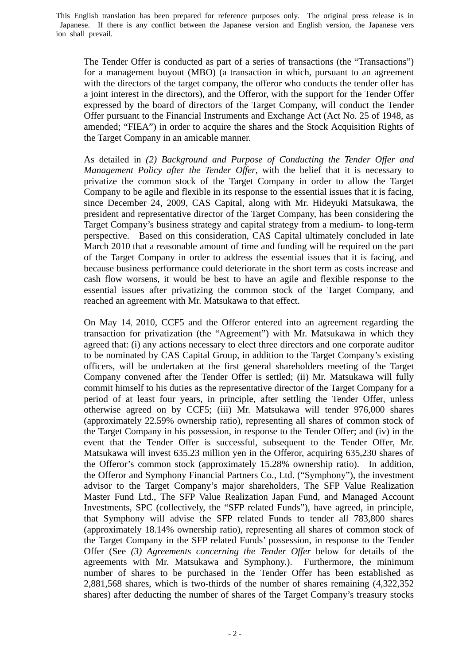The Tender Offer is conducted as part of a series of transactions (the "Transactions") for a management buyout (MBO) (a transaction in which, pursuant to an agreement with the directors of the target company, the offeror who conducts the tender offer has a joint interest in the directors), and the Offeror, with the support for the Tender Offer expressed by the board of directors of the Target Company, will conduct the Tender Offer pursuant to the Financial Instruments and Exchange Act (Act No. 25 of 1948, as amended; "FIEA") in order to acquire the shares and the Stock Acquisition Rights of the Target Company in an amicable manner.

As detailed in *(2) Background and Purpose of Conducting the Tender Offer and Management Policy after the Tender Offer*, with the belief that it is necessary to privatize the common stock of the Target Company in order to allow the Target Company to be agile and flexible in its response to the essential issues that it is facing, since December 24, 2009, CAS Capital, along with Mr. Hideyuki Matsukawa, the president and representative director of the Target Company, has been considering the Target Company's business strategy and capital strategy from a medium- to long-term perspective. Based on this consideration, CAS Capital ultimately concluded in late March 2010 that a reasonable amount of time and funding will be required on the part of the Target Company in order to address the essential issues that it is facing, and because business performance could deteriorate in the short term as costs increase and cash flow worsens, it would be best to have an agile and flexible response to the essential issues after privatizing the common stock of the Target Company, and reached an agreement with Mr. Matsukawa to that effect.

On May 14, 2010, CCF5 and the Offeror entered into an agreement regarding the transaction for privatization (the "Agreement") with Mr. Matsukawa in which they agreed that: (i) any actions necessary to elect three directors and one corporate auditor to be nominated by CAS Capital Group, in addition to the Target Company's existing officers, will be undertaken at the first general shareholders meeting of the Target Company convened after the Tender Offer is settled; (ii) Mr. Matsukawa will fully commit himself to his duties as the representative director of the Target Company for a period of at least four years, in principle, after settling the Tender Offer, unless otherwise agreed on by CCF5; (iii) Mr. Matsukawa will tender 976,000 shares (approximately 22.59% ownership ratio), representing all shares of common stock of the Target Company in his possession, in response to the Tender Offer; and (iv) in the event that the Tender Offer is successful, subsequent to the Tender Offer, Mr. Matsukawa will invest 635.23 million yen in the Offeror, acquiring 635,230 shares of the Offeror's common stock (approximately 15.28% ownership ratio). In addition, the Offeror and Symphony Financial Partners Co., Ltd. ("Symphony"), the investment advisor to the Target Company's major shareholders, The SFP Value Realization Master Fund Ltd., The SFP Value Realization Japan Fund, and Managed Account Investments, SPC (collectively, the "SFP related Funds"), have agreed, in principle, that Symphony will advise the SFP related Funds to tender all 783,800 shares (approximately 18.14% ownership ratio), representing all shares of common stock of the Target Company in the SFP related Funds' possession, in response to the Tender Offer (See *(3) Agreements concerning the Tender Offer* below for details of the agreements with Mr. Matsukawa and Symphony.). Furthermore, the minimum number of shares to be purchased in the Tender Offer has been established as 2,881,568 shares, which is two-thirds of the number of shares remaining (4,322,352 shares) after deducting the number of shares of the Target Company's treasury stocks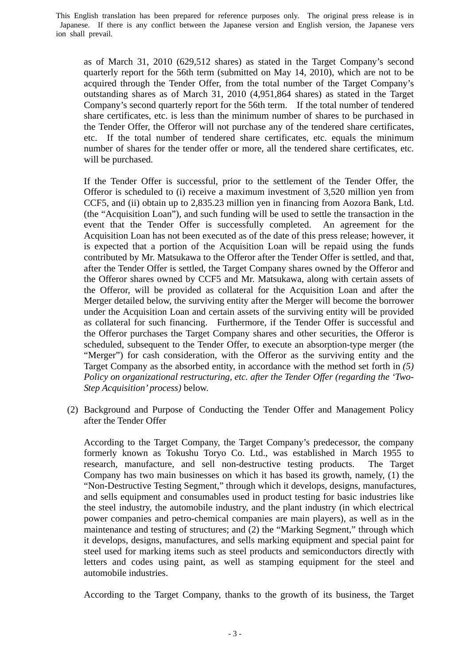as of March 31, 2010 (629,512 shares) as stated in the Target Company's second quarterly report for the 56th term (submitted on May 14, 2010), which are not to be acquired through the Tender Offer, from the total number of the Target Company's outstanding shares as of March 31, 2010 (4,951,864 shares) as stated in the Target Company's second quarterly report for the 56th term. If the total number of tendered share certificates, etc. is less than the minimum number of shares to be purchased in the Tender Offer, the Offeror will not purchase any of the tendered share certificates, etc. If the total number of tendered share certificates, etc. equals the minimum number of shares for the tender offer or more, all the tendered share certificates, etc. will be purchased.

If the Tender Offer is successful, prior to the settlement of the Tender Offer, the Offeror is scheduled to (i) receive a maximum investment of 3,520 million yen from CCF5, and (ii) obtain up to 2,835.23 million yen in financing from Aozora Bank, Ltd. (the "Acquisition Loan"), and such funding will be used to settle the transaction in the event that the Tender Offer is successfully completed. An agreement for the Acquisition Loan has not been executed as of the date of this press release; however, it is expected that a portion of the Acquisition Loan will be repaid using the funds contributed by Mr. Matsukawa to the Offeror after the Tender Offer is settled, and that, after the Tender Offer is settled, the Target Company shares owned by the Offeror and the Offeror shares owned by CCF5 and Mr. Matsukawa, along with certain assets of the Offeror, will be provided as collateral for the Acquisition Loan and after the Merger detailed below, the surviving entity after the Merger will become the borrower under the Acquisition Loan and certain assets of the surviving entity will be provided as collateral for such financing. Furthermore, if the Tender Offer is successful and the Offeror purchases the Target Company shares and other securities, the Offeror is scheduled, subsequent to the Tender Offer, to execute an absorption-type merger (the "Merger") for cash consideration, with the Offeror as the surviving entity and the Target Company as the absorbed entity, in accordance with the method set forth in *(5) Policy on organizational restructuring, etc. after the Tender Offer (regarding the 'Two-Step Acquisition' process)* below.

(2) Background and Purpose of Conducting the Tender Offer and Management Policy after the Tender Offer

According to the Target Company, the Target Company's predecessor, the company formerly known as Tokushu Toryo Co. Ltd., was established in March 1955 to research, manufacture, and sell non-destructive testing products. The Target Company has two main businesses on which it has based its growth, namely, (1) the "Non-Destructive Testing Segment," through which it develops, designs, manufactures, and sells equipment and consumables used in product testing for basic industries like the steel industry, the automobile industry, and the plant industry (in which electrical power companies and petro-chemical companies are main players), as well as in the maintenance and testing of structures; and (2) the "Marking Segment," through which it develops, designs, manufactures, and sells marking equipment and special paint for steel used for marking items such as steel products and semiconductors directly with letters and codes using paint, as well as stamping equipment for the steel and automobile industries.

According to the Target Company, thanks to the growth of its business, the Target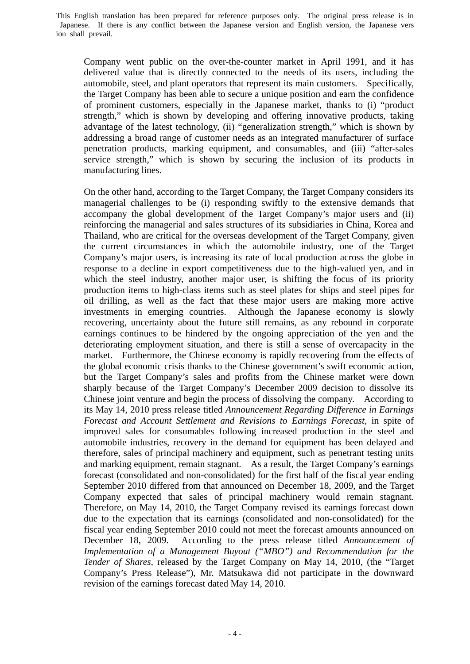Company went public on the over-the-counter market in April 1991, and it has delivered value that is directly connected to the needs of its users, including the automobile, steel, and plant operators that represent its main customers. Specifically, the Target Company has been able to secure a unique position and earn the confidence of prominent customers, especially in the Japanese market, thanks to (i) "product strength," which is shown by developing and offering innovative products, taking advantage of the latest technology, (ii) "generalization strength," which is shown by addressing a broad range of customer needs as an integrated manufacturer of surface penetration products, marking equipment, and consumables, and (iii) "after-sales service strength," which is shown by securing the inclusion of its products in manufacturing lines.

On the other hand, according to the Target Company, the Target Company considers its managerial challenges to be (i) responding swiftly to the extensive demands that accompany the global development of the Target Company's major users and (ii) reinforcing the managerial and sales structures of its subsidiaries in China, Korea and Thailand, who are critical for the overseas development of the Target Company, given the current circumstances in which the automobile industry, one of the Target Company's major users, is increasing its rate of local production across the globe in response to a decline in export competitiveness due to the high-valued yen, and in which the steel industry, another major user, is shifting the focus of its priority production items to high-class items such as steel plates for ships and steel pipes for oil drilling, as well as the fact that these major users are making more active investments in emerging countries. Although the Japanese economy is slowly recovering, uncertainty about the future still remains, as any rebound in corporate earnings continues to be hindered by the ongoing appreciation of the yen and the deteriorating employment situation, and there is still a sense of overcapacity in the market. Furthermore, the Chinese economy is rapidly recovering from the effects of the global economic crisis thanks to the Chinese government's swift economic action, but the Target Company's sales and profits from the Chinese market were down sharply because of the Target Company's December 2009 decision to dissolve its Chinese joint venture and begin the process of dissolving the company. According to its May 14, 2010 press release titled *Announcement Regarding Difference in Earnings Forecast and Account Settlement and Revisions to Earnings Forecast*, in spite of improved sales for consumables following increased production in the steel and automobile industries, recovery in the demand for equipment has been delayed and therefore, sales of principal machinery and equipment, such as penetrant testing units and marking equipment, remain stagnant. As a result, the Target Company's earnings forecast (consolidated and non-consolidated) for the first half of the fiscal year ending September 2010 differed from that announced on December 18, 2009, and the Target Company expected that sales of principal machinery would remain stagnant. Therefore, on May 14, 2010, the Target Company revised its earnings forecast down due to the expectation that its earnings (consolidated and non-consolidated) for the fiscal year ending September 2010 could not meet the forecast amounts announced on December 18, 2009. According to the press release titled *Announcement of Implementation of a Management Buyout ("MBO") and Recommendation for the Tender of Shares,* released by the Target Company on May 14, 2010, (the "Target Company's Press Release"), Mr. Matsukawa did not participate in the downward revision of the earnings forecast dated May 14, 2010.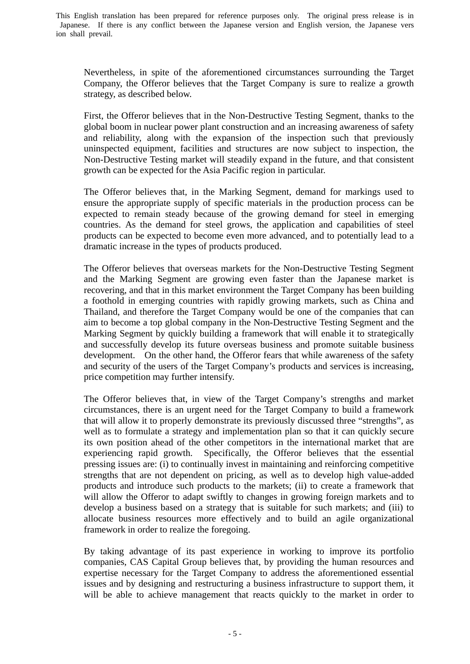Nevertheless, in spite of the aforementioned circumstances surrounding the Target Company, the Offeror believes that the Target Company is sure to realize a growth strategy, as described below.

First, the Offeror believes that in the Non-Destructive Testing Segment, thanks to the global boom in nuclear power plant construction and an increasing awareness of safety and reliability, along with the expansion of the inspection such that previously uninspected equipment, facilities and structures are now subject to inspection, the Non-Destructive Testing market will steadily expand in the future, and that consistent growth can be expected for the Asia Pacific region in particular.

The Offeror believes that, in the Marking Segment, demand for markings used to ensure the appropriate supply of specific materials in the production process can be expected to remain steady because of the growing demand for steel in emerging countries. As the demand for steel grows, the application and capabilities of steel products can be expected to become even more advanced, and to potentially lead to a dramatic increase in the types of products produced.

The Offeror believes that overseas markets for the Non-Destructive Testing Segment and the Marking Segment are growing even faster than the Japanese market is recovering, and that in this market environment the Target Company has been building a foothold in emerging countries with rapidly growing markets, such as China and Thailand, and therefore the Target Company would be one of the companies that can aim to become a top global company in the Non-Destructive Testing Segment and the Marking Segment by quickly building a framework that will enable it to strategically and successfully develop its future overseas business and promote suitable business development. On the other hand, the Offeror fears that while awareness of the safety and security of the users of the Target Company's products and services is increasing, price competition may further intensify.

The Offeror believes that, in view of the Target Company's strengths and market circumstances, there is an urgent need for the Target Company to build a framework that will allow it to properly demonstrate its previously discussed three "strengths", as well as to formulate a strategy and implementation plan so that it can quickly secure its own position ahead of the other competitors in the international market that are experiencing rapid growth. Specifically, the Offeror believes that the essential pressing issues are: (i) to continually invest in maintaining and reinforcing competitive strengths that are not dependent on pricing, as well as to develop high value-added products and introduce such products to the markets; (ii) to create a framework that will allow the Offeror to adapt swiftly to changes in growing foreign markets and to develop a business based on a strategy that is suitable for such markets; and (iii) to allocate business resources more effectively and to build an agile organizational framework in order to realize the foregoing.

By taking advantage of its past experience in working to improve its portfolio companies, CAS Capital Group believes that, by providing the human resources and expertise necessary for the Target Company to address the aforementioned essential issues and by designing and restructuring a business infrastructure to support them, it will be able to achieve management that reacts quickly to the market in order to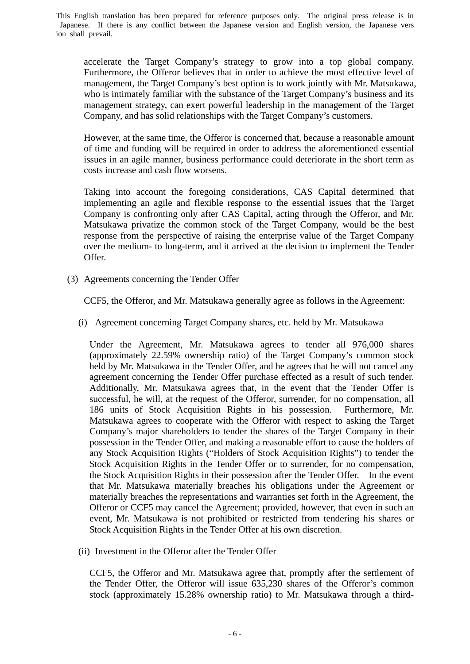accelerate the Target Company's strategy to grow into a top global company. Furthermore, the Offeror believes that in order to achieve the most effective level of management, the Target Company's best option is to work jointly with Mr. Matsukawa, who is intimately familiar with the substance of the Target Company's business and its management strategy, can exert powerful leadership in the management of the Target Company, and has solid relationships with the Target Company's customers.

However, at the same time, the Offeror is concerned that, because a reasonable amount of time and funding will be required in order to address the aforementioned essential issues in an agile manner, business performance could deteriorate in the short term as costs increase and cash flow worsens.

Taking into account the foregoing considerations, CAS Capital determined that implementing an agile and flexible response to the essential issues that the Target Company is confronting only after CAS Capital, acting through the Offeror, and Mr. Matsukawa privatize the common stock of the Target Company, would be the best response from the perspective of raising the enterprise value of the Target Company over the medium- to long-term, and it arrived at the decision to implement the Tender Offer.

(3) Agreements concerning the Tender Offer

CCF5, the Offeror, and Mr. Matsukawa generally agree as follows in the Agreement:

(i) Agreement concerning Target Company shares, etc. held by Mr. Matsukawa

Under the Agreement, Mr. Matsukawa agrees to tender all 976,000 shares (approximately 22.59% ownership ratio) of the Target Company's common stock held by Mr. Matsukawa in the Tender Offer, and he agrees that he will not cancel any agreement concerning the Tender Offer purchase effected as a result of such tender. Additionally, Mr. Matsukawa agrees that, in the event that the Tender Offer is successful, he will, at the request of the Offeror, surrender, for no compensation, all 186 units of Stock Acquisition Rights in his possession. Furthermore, Mr. Matsukawa agrees to cooperate with the Offeror with respect to asking the Target Company's major shareholders to tender the shares of the Target Company in their possession in the Tender Offer, and making a reasonable effort to cause the holders of any Stock Acquisition Rights ("Holders of Stock Acquisition Rights") to tender the Stock Acquisition Rights in the Tender Offer or to surrender, for no compensation, the Stock Acquisition Rights in their possession after the Tender Offer. In the event that Mr. Matsukawa materially breaches his obligations under the Agreement or materially breaches the representations and warranties set forth in the Agreement, the Offeror or CCF5 may cancel the Agreement; provided, however, that even in such an event, Mr. Matsukawa is not prohibited or restricted from tendering his shares or Stock Acquisition Rights in the Tender Offer at his own discretion.

(ii) Investment in the Offeror after the Tender Offer

CCF5, the Offeror and Mr. Matsukawa agree that, promptly after the settlement of the Tender Offer, the Offeror will issue 635,230 shares of the Offeror's common stock (approximately 15.28% ownership ratio) to Mr. Matsukawa through a third-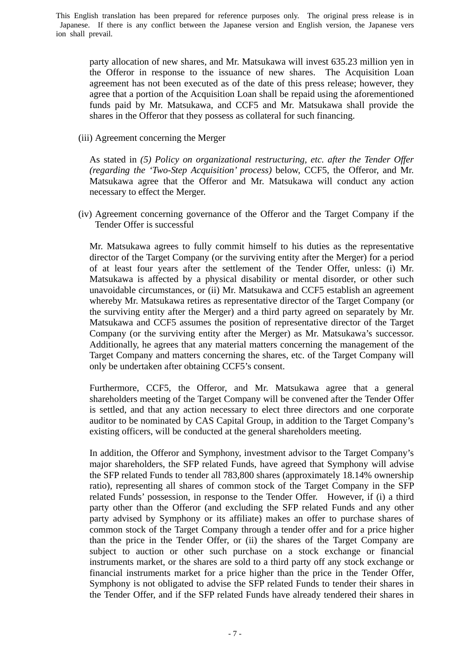party allocation of new shares, and Mr. Matsukawa will invest 635.23 million yen in the Offeror in response to the issuance of new shares. The Acquisition Loan agreement has not been executed as of the date of this press release; however, they agree that a portion of the Acquisition Loan shall be repaid using the aforementioned funds paid by Mr. Matsukawa, and CCF5 and Mr. Matsukawa shall provide the shares in the Offeror that they possess as collateral for such financing.

(iii) Agreement concerning the Merger

As stated in *(5) Policy on organizational restructuring, etc. after the Tender Offer (regarding the 'Two-Step Acquisition' process)* below, CCF5, the Offeror, and Mr. Matsukawa agree that the Offeror and Mr. Matsukawa will conduct any action necessary to effect the Merger.

(iv) Agreement concerning governance of the Offeror and the Target Company if the Tender Offer is successful

Mr. Matsukawa agrees to fully commit himself to his duties as the representative director of the Target Company (or the surviving entity after the Merger) for a period of at least four years after the settlement of the Tender Offer, unless: (i) Mr. Matsukawa is affected by a physical disability or mental disorder, or other such unavoidable circumstances, or (ii) Mr. Matsukawa and CCF5 establish an agreement whereby Mr. Matsukawa retires as representative director of the Target Company (or the surviving entity after the Merger) and a third party agreed on separately by Mr. Matsukawa and CCF5 assumes the position of representative director of the Target Company (or the surviving entity after the Merger) as Mr. Matsukawa's successor. Additionally, he agrees that any material matters concerning the management of the Target Company and matters concerning the shares, etc. of the Target Company will only be undertaken after obtaining CCF5's consent.

Furthermore, CCF5, the Offeror, and Mr. Matsukawa agree that a general shareholders meeting of the Target Company will be convened after the Tender Offer is settled, and that any action necessary to elect three directors and one corporate auditor to be nominated by CAS Capital Group, in addition to the Target Company's existing officers, will be conducted at the general shareholders meeting.

In addition, the Offeror and Symphony, investment advisor to the Target Company's major shareholders, the SFP related Funds, have agreed that Symphony will advise the SFP related Funds to tender all 783,800 shares (approximately 18.14% ownership ratio), representing all shares of common stock of the Target Company in the SFP related Funds' possession, in response to the Tender Offer. However, if (i) a third party other than the Offeror (and excluding the SFP related Funds and any other party advised by Symphony or its affiliate) makes an offer to purchase shares of common stock of the Target Company through a tender offer and for a price higher than the price in the Tender Offer, or (ii) the shares of the Target Company are subject to auction or other such purchase on a stock exchange or financial instruments market, or the shares are sold to a third party off any stock exchange or financial instruments market for a price higher than the price in the Tender Offer, Symphony is not obligated to advise the SFP related Funds to tender their shares in the Tender Offer, and if the SFP related Funds have already tendered their shares in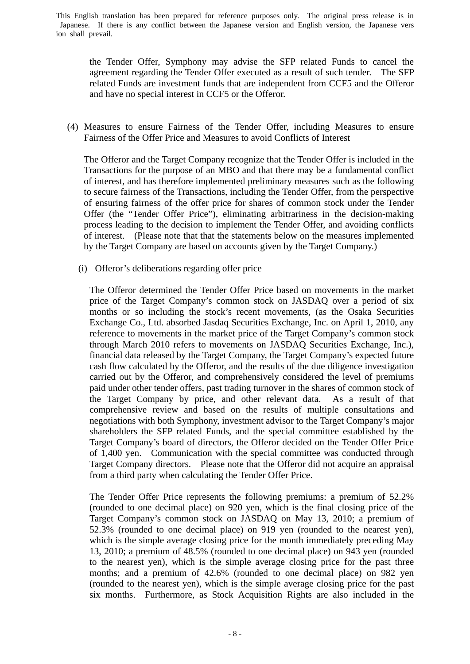the Tender Offer, Symphony may advise the SFP related Funds to cancel the agreement regarding the Tender Offer executed as a result of such tender. The SFP related Funds are investment funds that are independent from CCF5 and the Offeror and have no special interest in CCF5 or the Offeror.

(4) Measures to ensure Fairness of the Tender Offer, including Measures to ensure Fairness of the Offer Price and Measures to avoid Conflicts of Interest

The Offeror and the Target Company recognize that the Tender Offer is included in the Transactions for the purpose of an MBO and that there may be a fundamental conflict of interest, and has therefore implemented preliminary measures such as the following to secure fairness of the Transactions, including the Tender Offer, from the perspective of ensuring fairness of the offer price for shares of common stock under the Tender Offer (the "Tender Offer Price"), eliminating arbitrariness in the decision-making process leading to the decision to implement the Tender Offer, and avoiding conflicts of interest. (Please note that that the statements below on the measures implemented by the Target Company are based on accounts given by the Target Company.)

(i) Offeror's deliberations regarding offer price

The Offeror determined the Tender Offer Price based on movements in the market price of the Target Company's common stock on JASDAQ over a period of six months or so including the stock's recent movements, (as the Osaka Securities Exchange Co., Ltd. absorbed Jasdaq Securities Exchange, Inc. on April 1, 2010, any reference to movements in the market price of the Target Company's common stock through March 2010 refers to movements on JASDAQ Securities Exchange, Inc.), financial data released by the Target Company, the Target Company's expected future cash flow calculated by the Offeror, and the results of the due diligence investigation carried out by the Offeror, and comprehensively considered the level of premiums paid under other tender offers, past trading turnover in the shares of common stock of the Target Company by price, and other relevant data. As a result of that comprehensive review and based on the results of multiple consultations and negotiations with both Symphony, investment advisor to the Target Company's major shareholders the SFP related Funds, and the special committee established by the Target Company's board of directors, the Offeror decided on the Tender Offer Price of 1,400 yen. Communication with the special committee was conducted through Target Company directors. Please note that the Offeror did not acquire an appraisal from a third party when calculating the Tender Offer Price.

The Tender Offer Price represents the following premiums: a premium of 52.2% (rounded to one decimal place) on 920 yen, which is the final closing price of the Target Company's common stock on JASDAQ on May 13, 2010; a premium of 52.3% (rounded to one decimal place) on 919 yen (rounded to the nearest yen), which is the simple average closing price for the month immediately preceding May 13, 2010; a premium of 48.5% (rounded to one decimal place) on 943 yen (rounded to the nearest yen), which is the simple average closing price for the past three months; and a premium of 42.6% (rounded to one decimal place) on 982 yen (rounded to the nearest yen), which is the simple average closing price for the past six months. Furthermore, as Stock Acquisition Rights are also included in the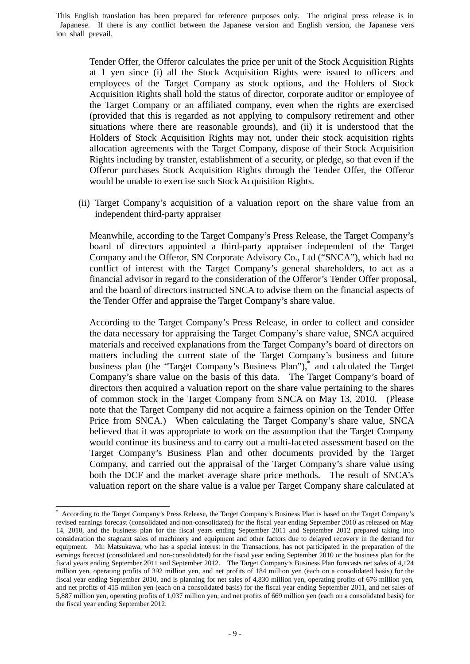Tender Offer, the Offeror calculates the price per unit of the Stock Acquisition Rights at 1 yen since (i) all the Stock Acquisition Rights were issued to officers and employees of the Target Company as stock options, and the Holders of Stock Acquisition Rights shall hold the status of director, corporate auditor or employee of the Target Company or an affiliated company, even when the rights are exercised (provided that this is regarded as not applying to compulsory retirement and other situations where there are reasonable grounds), and (ii) it is understood that the Holders of Stock Acquisition Rights may not, under their stock acquisition rights allocation agreements with the Target Company, dispose of their Stock Acquisition Rights including by transfer, establishment of a security, or pledge, so that even if the Offeror purchases Stock Acquisition Rights through the Tender Offer, the Offeror would be unable to exercise such Stock Acquisition Rights.

(ii) Target Company's acquisition of a valuation report on the share value from an independent third-party appraiser

Meanwhile, according to the Target Company's Press Release, the Target Company's board of directors appointed a third-party appraiser independent of the Target Company and the Offeror, SN Corporate Advisory Co., Ltd ("SNCA"), which had no conflict of interest with the Target Company's general shareholders, to act as a financial advisor in regard to the consideration of the Offeror's Tender Offer proposal, and the board of directors instructed SNCA to advise them on the financial aspects of the Tender Offer and appraise the Target Company's share value.

According to the Target Company's Press Release, in order to collect and consider the data necessary for appraising the Target Company's share value, SNCA acquired materials and received explanations from the Target Company's board of directors on matters including the current state of the Target Company's business and future business plan (the "Target Company's Business Plan"),<sup>\*</sup> and calculated the Target Company's share value on the basis of this data. The Target Company's board of directors then acquired a valuation report on the share value pertaining to the shares of common stock in the Target Company from SNCA on May 13, 2010. (Please note that the Target Company did not acquire a fairness opinion on the Tender Offer Price from SNCA.) When calculating the Target Company's share value, SNCA believed that it was appropriate to work on the assumption that the Target Company would continue its business and to carry out a multi-faceted assessment based on the Target Company's Business Plan and other documents provided by the Target Company, and carried out the appraisal of the Target Company's share value using both the DCF and the market average share price methods. The result of SNCA's valuation report on the share value is a value per Target Company share calculated at

-

<sup>\*</sup> According to the Target Company's Press Release, the Target Company's Business Plan is based on the Target Company's revised earnings forecast (consolidated and non-consolidated) for the fiscal year ending September 2010 as released on May 14, 2010, and the business plan for the fiscal years ending September 2011 and September 2012 prepared taking into consideration the stagnant sales of machinery and equipment and other factors due to delayed recovery in the demand for equipment. Mr. Matsukawa, who has a special interest in the Transactions, has not participated in the preparation of the earnings forecast (consolidated and non-consolidated) for the fiscal year ending September 2010 or the business plan for the fiscal years ending September 2011 and September 2012. The Target Company's Business Plan forecasts net sales of 4,124 million yen, operating profits of 392 million yen, and net profits of 184 million yen (each on a consolidated basis) for the fiscal year ending September 2010, and is planning for net sales of 4,830 million yen, operating profits of 676 million yen, and net profits of 415 million yen (each on a consolidated basis) for the fiscal year ending September 2011, and net sales of 5,887 million yen, operating profits of 1,037 million yen, and net profits of 669 million yen (each on a consolidated basis) for the fiscal year ending September 2012.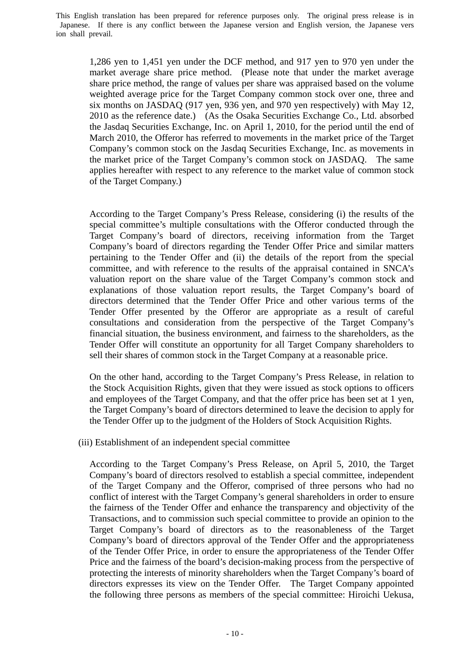1,286 yen to 1,451 yen under the DCF method, and 917 yen to 970 yen under the market average share price method. (Please note that under the market average share price method, the range of values per share was appraised based on the volume weighted average price for the Target Company common stock over one, three and six months on JASDAQ (917 yen, 936 yen, and 970 yen respectively) with May 12, 2010 as the reference date.) (As the Osaka Securities Exchange Co., Ltd. absorbed the Jasdaq Securities Exchange, Inc. on April 1, 2010, for the period until the end of March 2010, the Offeror has referred to movements in the market price of the Target Company's common stock on the Jasdaq Securities Exchange, Inc. as movements in the market price of the Target Company's common stock on JASDAQ. The same applies hereafter with respect to any reference to the market value of common stock of the Target Company.)

According to the Target Company's Press Release, considering (i) the results of the special committee's multiple consultations with the Offeror conducted through the Target Company's board of directors, receiving information from the Target Company's board of directors regarding the Tender Offer Price and similar matters pertaining to the Tender Offer and (ii) the details of the report from the special committee, and with reference to the results of the appraisal contained in SNCA's valuation report on the share value of the Target Company's common stock and explanations of those valuation report results, the Target Company's board of directors determined that the Tender Offer Price and other various terms of the Tender Offer presented by the Offeror are appropriate as a result of careful consultations and consideration from the perspective of the Target Company's financial situation, the business environment, and fairness to the shareholders, as the Tender Offer will constitute an opportunity for all Target Company shareholders to sell their shares of common stock in the Target Company at a reasonable price.

On the other hand, according to the Target Company's Press Release, in relation to the Stock Acquisition Rights, given that they were issued as stock options to officers and employees of the Target Company, and that the offer price has been set at 1 yen, the Target Company's board of directors determined to leave the decision to apply for the Tender Offer up to the judgment of the Holders of Stock Acquisition Rights.

### (iii) Establishment of an independent special committee

According to the Target Company's Press Release, on April 5, 2010, the Target Company's board of directors resolved to establish a special committee, independent of the Target Company and the Offeror, comprised of three persons who had no conflict of interest with the Target Company's general shareholders in order to ensure the fairness of the Tender Offer and enhance the transparency and objectivity of the Transactions, and to commission such special committee to provide an opinion to the Target Company's board of directors as to the reasonableness of the Target Company's board of directors approval of the Tender Offer and the appropriateness of the Tender Offer Price, in order to ensure the appropriateness of the Tender Offer Price and the fairness of the board's decision-making process from the perspective of protecting the interests of minority shareholders when the Target Company's board of directors expresses its view on the Tender Offer. The Target Company appointed the following three persons as members of the special committee: Hiroichi Uekusa,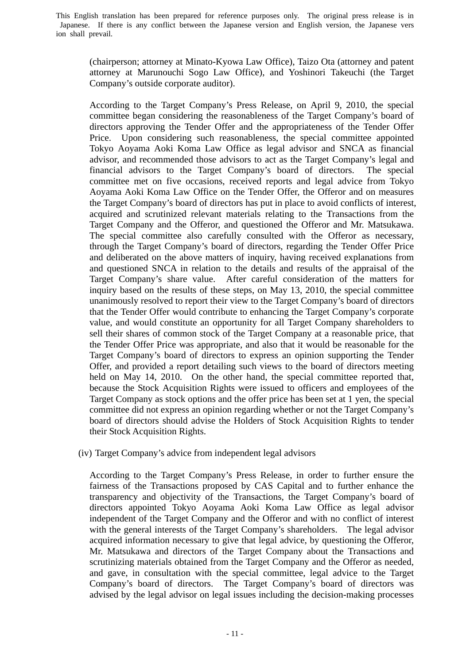(chairperson; attorney at Minato-Kyowa Law Office), Taizo Ota (attorney and patent attorney at Marunouchi Sogo Law Office), and Yoshinori Takeuchi (the Target Company's outside corporate auditor).

According to the Target Company's Press Release, on April 9, 2010, the special committee began considering the reasonableness of the Target Company's board of directors approving the Tender Offer and the appropriateness of the Tender Offer Price. Upon considering such reasonableness, the special committee appointed Tokyo Aoyama Aoki Koma Law Office as legal advisor and SNCA as financial advisor, and recommended those advisors to act as the Target Company's legal and financial advisors to the Target Company's board of directors. The special committee met on five occasions, received reports and legal advice from Tokyo Aoyama Aoki Koma Law Office on the Tender Offer, the Offeror and on measures the Target Company's board of directors has put in place to avoid conflicts of interest, acquired and scrutinized relevant materials relating to the Transactions from the Target Company and the Offeror, and questioned the Offeror and Mr. Matsukawa. The special committee also carefully consulted with the Offeror as necessary, through the Target Company's board of directors, regarding the Tender Offer Price and deliberated on the above matters of inquiry, having received explanations from and questioned SNCA in relation to the details and results of the appraisal of the Target Company's share value. After careful consideration of the matters for inquiry based on the results of these steps, on May 13, 2010, the special committee unanimously resolved to report their view to the Target Company's board of directors that the Tender Offer would contribute to enhancing the Target Company's corporate value, and would constitute an opportunity for all Target Company shareholders to sell their shares of common stock of the Target Company at a reasonable price, that the Tender Offer Price was appropriate, and also that it would be reasonable for the Target Company's board of directors to express an opinion supporting the Tender Offer, and provided a report detailing such views to the board of directors meeting held on May 14, 2010. On the other hand, the special committee reported that, because the Stock Acquisition Rights were issued to officers and employees of the Target Company as stock options and the offer price has been set at 1 yen, the special committee did not express an opinion regarding whether or not the Target Company's board of directors should advise the Holders of Stock Acquisition Rights to tender their Stock Acquisition Rights.

(iv) Target Company's advice from independent legal advisors

According to the Target Company's Press Release, in order to further ensure the fairness of the Transactions proposed by CAS Capital and to further enhance the transparency and objectivity of the Transactions, the Target Company's board of directors appointed Tokyo Aoyama Aoki Koma Law Office as legal advisor independent of the Target Company and the Offeror and with no conflict of interest with the general interests of the Target Company's shareholders. The legal advisor acquired information necessary to give that legal advice, by questioning the Offeror, Mr. Matsukawa and directors of the Target Company about the Transactions and scrutinizing materials obtained from the Target Company and the Offeror as needed, and gave, in consultation with the special committee, legal advice to the Target Company's board of directors. The Target Company's board of directors was advised by the legal advisor on legal issues including the decision-making processes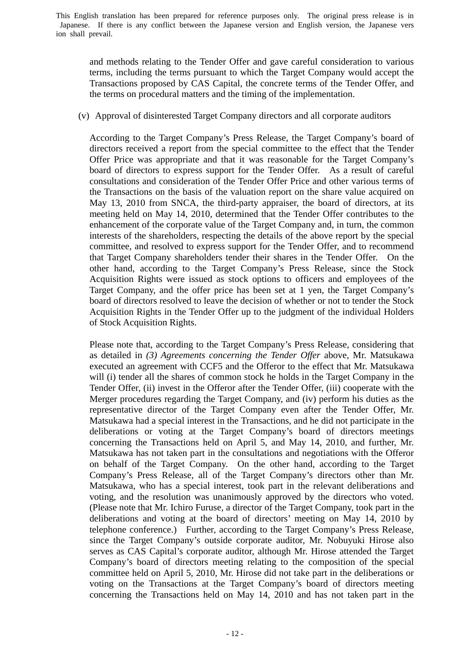and methods relating to the Tender Offer and gave careful consideration to various terms, including the terms pursuant to which the Target Company would accept the Transactions proposed by CAS Capital, the concrete terms of the Tender Offer, and the terms on procedural matters and the timing of the implementation.

(v) Approval of disinterested Target Company directors and all corporate auditors

According to the Target Company's Press Release, the Target Company's board of directors received a report from the special committee to the effect that the Tender Offer Price was appropriate and that it was reasonable for the Target Company's board of directors to express support for the Tender Offer. As a result of careful consultations and consideration of the Tender Offer Price and other various terms of the Transactions on the basis of the valuation report on the share value acquired on May 13, 2010 from SNCA, the third-party appraiser, the board of directors, at its meeting held on May 14, 2010, determined that the Tender Offer contributes to the enhancement of the corporate value of the Target Company and, in turn, the common interests of the shareholders, respecting the details of the above report by the special committee, and resolved to express support for the Tender Offer, and to recommend that Target Company shareholders tender their shares in the Tender Offer. On the other hand, according to the Target Company's Press Release, since the Stock Acquisition Rights were issued as stock options to officers and employees of the Target Company, and the offer price has been set at 1 yen, the Target Company's board of directors resolved to leave the decision of whether or not to tender the Stock Acquisition Rights in the Tender Offer up to the judgment of the individual Holders of Stock Acquisition Rights.

Please note that, according to the Target Company's Press Release, considering that as detailed in *(3) Agreements concerning the Tender Offer* above*,* Mr. Matsukawa executed an agreement with CCF5 and the Offeror to the effect that Mr. Matsukawa will (i) tender all the shares of common stock he holds in the Target Company in the Tender Offer, (ii) invest in the Offeror after the Tender Offer, (iii) cooperate with the Merger procedures regarding the Target Company, and (iv) perform his duties as the representative director of the Target Company even after the Tender Offer, Mr. Matsukawa had a special interest in the Transactions, and he did not participate in the deliberations or voting at the Target Company's board of directors meetings concerning the Transactions held on April 5, and May 14, 2010, and further, Mr. Matsukawa has not taken part in the consultations and negotiations with the Offeror on behalf of the Target Company. On the other hand, according to the Target Company's Press Release, all of the Target Company's directors other than Mr. Matsukawa, who has a special interest, took part in the relevant deliberations and voting, and the resolution was unanimously approved by the directors who voted. (Please note that Mr. Ichiro Furuse, a director of the Target Company, took part in the deliberations and voting at the board of directors' meeting on May 14, 2010 by telephone conference.) Further, according to the Target Company's Press Release, since the Target Company's outside corporate auditor, Mr. Nobuyuki Hirose also serves as CAS Capital's corporate auditor, although Mr. Hirose attended the Target Company's board of directors meeting relating to the composition of the special committee held on April 5, 2010, Mr. Hirose did not take part in the deliberations or voting on the Transactions at the Target Company's board of directors meeting concerning the Transactions held on May 14, 2010 and has not taken part in the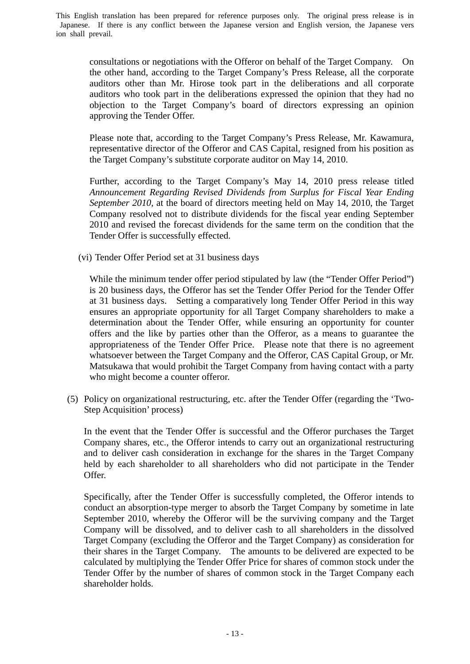consultations or negotiations with the Offeror on behalf of the Target Company. On the other hand, according to the Target Company's Press Release, all the corporate auditors other than Mr. Hirose took part in the deliberations and all corporate auditors who took part in the deliberations expressed the opinion that they had no objection to the Target Company's board of directors expressing an opinion approving the Tender Offer.

Please note that, according to the Target Company's Press Release, Mr. Kawamura, representative director of the Offeror and CAS Capital, resigned from his position as the Target Company's substitute corporate auditor on May 14, 2010.

Further, according to the Target Company's May 14, 2010 press release titled *Announcement Regarding Revised Dividends from Surplus for Fiscal Year Ending September 2010*, at the board of directors meeting held on May 14, 2010, the Target Company resolved not to distribute dividends for the fiscal year ending September 2010 and revised the forecast dividends for the same term on the condition that the Tender Offer is successfully effected.

(vi) Tender Offer Period set at 31 business days

While the minimum tender offer period stipulated by law (the "Tender Offer Period") is 20 business days, the Offeror has set the Tender Offer Period for the Tender Offer at 31 business days. Setting a comparatively long Tender Offer Period in this way ensures an appropriate opportunity for all Target Company shareholders to make a determination about the Tender Offer, while ensuring an opportunity for counter offers and the like by parties other than the Offeror, as a means to guarantee the appropriateness of the Tender Offer Price. Please note that there is no agreement whatsoever between the Target Company and the Offeror, CAS Capital Group, or Mr. Matsukawa that would prohibit the Target Company from having contact with a party who might become a counter offeror.

(5) Policy on organizational restructuring, etc. after the Tender Offer (regarding the 'Two-Step Acquisition' process)

In the event that the Tender Offer is successful and the Offeror purchases the Target Company shares, etc., the Offeror intends to carry out an organizational restructuring and to deliver cash consideration in exchange for the shares in the Target Company held by each shareholder to all shareholders who did not participate in the Tender Offer.

Specifically, after the Tender Offer is successfully completed, the Offeror intends to conduct an absorption-type merger to absorb the Target Company by sometime in late September 2010, whereby the Offeror will be the surviving company and the Target Company will be dissolved, and to deliver cash to all shareholders in the dissolved Target Company (excluding the Offeror and the Target Company) as consideration for their shares in the Target Company. The amounts to be delivered are expected to be calculated by multiplying the Tender Offer Price for shares of common stock under the Tender Offer by the number of shares of common stock in the Target Company each shareholder holds.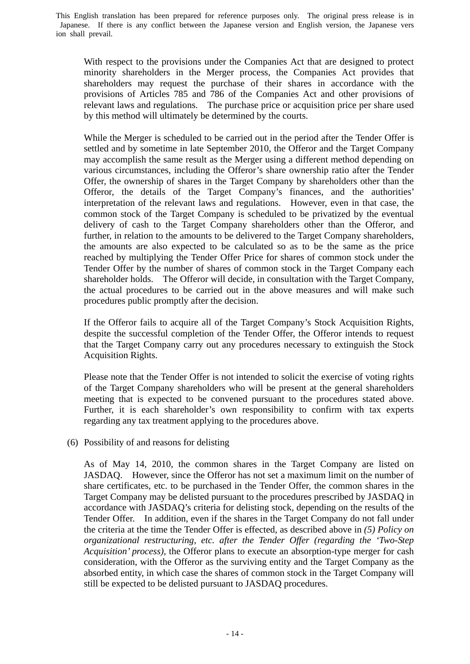With respect to the provisions under the Companies Act that are designed to protect minority shareholders in the Merger process, the Companies Act provides that shareholders may request the purchase of their shares in accordance with the provisions of Articles 785 and 786 of the Companies Act and other provisions of relevant laws and regulations. The purchase price or acquisition price per share used by this method will ultimately be determined by the courts.

While the Merger is scheduled to be carried out in the period after the Tender Offer is settled and by sometime in late September 2010, the Offeror and the Target Company may accomplish the same result as the Merger using a different method depending on various circumstances, including the Offeror's share ownership ratio after the Tender Offer, the ownership of shares in the Target Company by shareholders other than the Offeror, the details of the Target Company's finances, and the authorities' interpretation of the relevant laws and regulations. However, even in that case, the common stock of the Target Company is scheduled to be privatized by the eventual delivery of cash to the Target Company shareholders other than the Offeror, and further, in relation to the amounts to be delivered to the Target Company shareholders, the amounts are also expected to be calculated so as to be the same as the price reached by multiplying the Tender Offer Price for shares of common stock under the Tender Offer by the number of shares of common stock in the Target Company each shareholder holds. The Offeror will decide, in consultation with the Target Company, the actual procedures to be carried out in the above measures and will make such procedures public promptly after the decision.

If the Offeror fails to acquire all of the Target Company's Stock Acquisition Rights, despite the successful completion of the Tender Offer, the Offeror intends to request that the Target Company carry out any procedures necessary to extinguish the Stock Acquisition Rights.

Please note that the Tender Offer is not intended to solicit the exercise of voting rights of the Target Company shareholders who will be present at the general shareholders meeting that is expected to be convened pursuant to the procedures stated above. Further, it is each shareholder's own responsibility to confirm with tax experts regarding any tax treatment applying to the procedures above.

(6) Possibility of and reasons for delisting

As of May 14, 2010, the common shares in the Target Company are listed on JASDAQ. However, since the Offeror has not set a maximum limit on the number of share certificates, etc. to be purchased in the Tender Offer, the common shares in the Target Company may be delisted pursuant to the procedures prescribed by JASDAQ in accordance with JASDAQ's criteria for delisting stock, depending on the results of the Tender Offer. In addition, even if the shares in the Target Company do not fall under the criteria at the time the Tender Offer is effected, as described above in *(5) Policy on organizational restructuring, etc. after the Tender Offer (regarding the 'Two-Step Acquisition' process)*, the Offeror plans to execute an absorption-type merger for cash consideration, with the Offeror as the surviving entity and the Target Company as the absorbed entity, in which case the shares of common stock in the Target Company will still be expected to be delisted pursuant to JASDAQ procedures.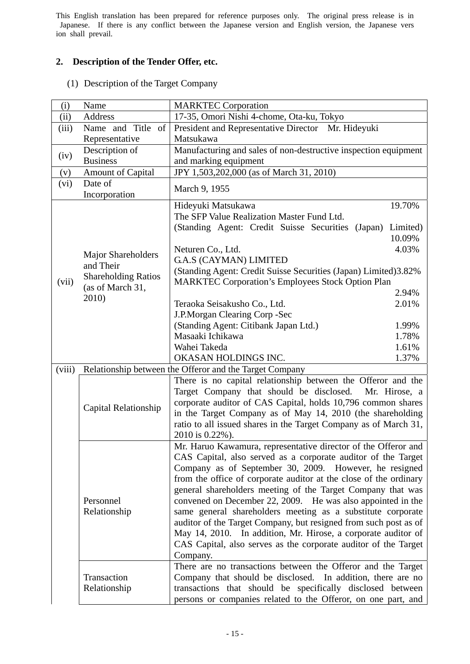# **2. Description of the Tender Offer, etc.**

(1) Description of the Target Company

| (i)    | Name                       | <b>MARKTEC Corporation</b>                                        |  |  |  |  |
|--------|----------------------------|-------------------------------------------------------------------|--|--|--|--|
| (ii)   | Address                    | 17-35, Omori Nishi 4-chome, Ota-ku, Tokyo                         |  |  |  |  |
| (iii)  | Name and Title of          | President and Representative Director Mr. Hideyuki                |  |  |  |  |
|        | Representative             | Matsukawa                                                         |  |  |  |  |
|        | Description of             | Manufacturing and sales of non-destructive inspection equipment   |  |  |  |  |
| (iv)   | <b>Business</b>            | and marking equipment                                             |  |  |  |  |
| (v)    | <b>Amount of Capital</b>   | JPY 1,503,202,000 (as of March 31, 2010)                          |  |  |  |  |
| (vi)   | Date of                    | March 9, 1955                                                     |  |  |  |  |
|        | Incorporation              |                                                                   |  |  |  |  |
|        |                            | 19.70%<br>Hideyuki Matsukawa                                      |  |  |  |  |
|        |                            | The SFP Value Realization Master Fund Ltd.                        |  |  |  |  |
|        |                            | (Standing Agent: Credit Suisse Securities (Japan)<br>Limited)     |  |  |  |  |
|        |                            | 10.09%                                                            |  |  |  |  |
|        | <b>Major Shareholders</b>  | 4.03%<br>Neturen Co., Ltd.                                        |  |  |  |  |
|        | and Their                  | <b>G.A.S (CAYMAN) LIMITED</b>                                     |  |  |  |  |
|        | <b>Shareholding Ratios</b> | (Standing Agent: Credit Suisse Securities (Japan) Limited)3.82%   |  |  |  |  |
| (vii)  | (as of March 31,           | <b>MARKTEC Corporation's Employees Stock Option Plan</b>          |  |  |  |  |
|        | 2010)                      | 2.94%                                                             |  |  |  |  |
|        |                            | 2.01%<br>Teraoka Seisakusho Co., Ltd.                             |  |  |  |  |
|        |                            | J.P.Morgan Clearing Corp -Sec                                     |  |  |  |  |
|        |                            | (Standing Agent: Citibank Japan Ltd.)<br>1.99%                    |  |  |  |  |
|        |                            | Masaaki Ichikawa<br>1.78%                                         |  |  |  |  |
|        |                            | Wahei Takeda<br>1.61%                                             |  |  |  |  |
|        |                            | OKASAN HOLDINGS INC.<br>1.37%                                     |  |  |  |  |
| (viii) |                            | Relationship between the Offeror and the Target Company           |  |  |  |  |
|        |                            | There is no capital relationship between the Offeror and the      |  |  |  |  |
|        |                            | Target Company that should be disclosed.<br>Mr. Hirose, a         |  |  |  |  |
|        | Capital Relationship       | corporate auditor of CAS Capital, holds 10,796 common shares      |  |  |  |  |
|        |                            | in the Target Company as of May 14, 2010 (the shareholding        |  |  |  |  |
|        |                            | ratio to all issued shares in the Target Company as of March 31,  |  |  |  |  |
|        |                            | 2010 is 0.22%).                                                   |  |  |  |  |
|        |                            | Mr. Haruo Kawamura, representative director of the Offeror and    |  |  |  |  |
|        |                            | CAS Capital, also served as a corporate auditor of the Target     |  |  |  |  |
|        |                            | Company as of September 30, 2009. However, he resigned            |  |  |  |  |
|        |                            | from the office of corporate auditor at the close of the ordinary |  |  |  |  |
|        |                            | general shareholders meeting of the Target Company that was       |  |  |  |  |
|        | Personnel                  | convened on December 22, 2009. He was also appointed in the       |  |  |  |  |
|        | Relationship               | same general shareholders meeting as a substitute corporate       |  |  |  |  |
|        |                            | auditor of the Target Company, but resigned from such post as of  |  |  |  |  |
|        |                            | May 14, 2010. In addition, Mr. Hirose, a corporate auditor of     |  |  |  |  |
|        |                            | CAS Capital, also serves as the corporate auditor of the Target   |  |  |  |  |
|        |                            | Company.                                                          |  |  |  |  |
|        |                            | There are no transactions between the Offeror and the Target      |  |  |  |  |
|        | Transaction                | Company that should be disclosed. In addition, there are no       |  |  |  |  |
|        | Relationship               | transactions that should be specifically disclosed between        |  |  |  |  |
|        |                            | persons or companies related to the Offeror, on one part, and     |  |  |  |  |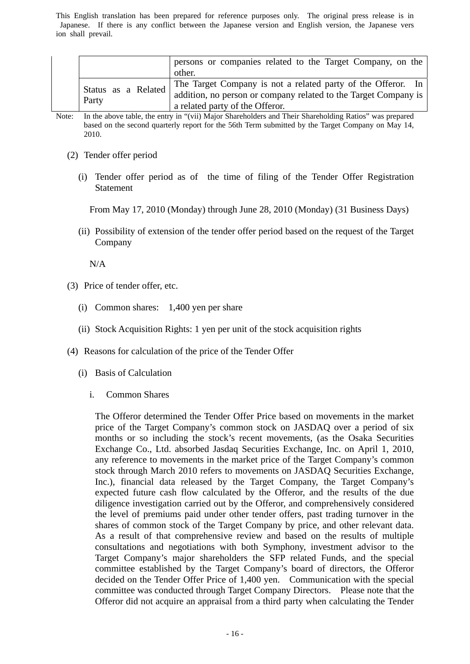|                     | persons or companies related to the Target Company, on the<br>other. |
|---------------------|----------------------------------------------------------------------|
| Status as a Related | The Target Company is not a related party of the Offeror. In         |
| Party               | addition, no person or company related to the Target Company is      |
|                     | a related party of the Offeror.                                      |

Note: In the above table, the entry in "(vii) Major Shareholders and Their Shareholding Ratios" was prepared based on the second quarterly report for the 56th Term submitted by the Target Company on May 14, 2010.

- (2) Tender offer period
	- (i) Tender offer period as of the time of filing of the Tender Offer Registration Statement

From May 17, 2010 (Monday) through June 28, 2010 (Monday) (31 Business Days)

(ii) Possibility of extension of the tender offer period based on the request of the Target Company

N/A

- (3) Price of tender offer, etc.
	- (i) Common shares: 1,400 yen per share
	- (ii) Stock Acquisition Rights: 1 yen per unit of the stock acquisition rights
- (4) Reasons for calculation of the price of the Tender Offer
	- (i) Basis of Calculation
		- i. Common Shares

The Offeror determined the Tender Offer Price based on movements in the market price of the Target Company's common stock on JASDAQ over a period of six months or so including the stock's recent movements, (as the Osaka Securities Exchange Co., Ltd. absorbed Jasdaq Securities Exchange, Inc. on April 1, 2010, any reference to movements in the market price of the Target Company's common stock through March 2010 refers to movements on JASDAQ Securities Exchange, Inc.), financial data released by the Target Company, the Target Company's expected future cash flow calculated by the Offeror, and the results of the due diligence investigation carried out by the Offeror, and comprehensively considered the level of premiums paid under other tender offers, past trading turnover in the shares of common stock of the Target Company by price, and other relevant data. As a result of that comprehensive review and based on the results of multiple consultations and negotiations with both Symphony, investment advisor to the Target Company's major shareholders the SFP related Funds, and the special committee established by the Target Company's board of directors, the Offeror decided on the Tender Offer Price of 1,400 yen. Communication with the special committee was conducted through Target Company Directors. Please note that the Offeror did not acquire an appraisal from a third party when calculating the Tender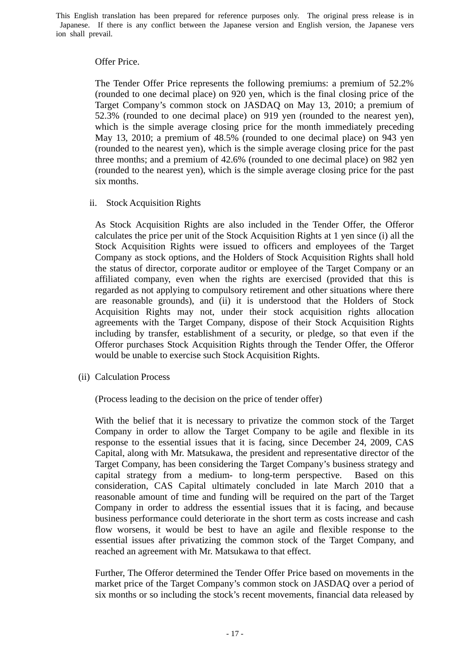### Offer Price.

The Tender Offer Price represents the following premiums: a premium of 52.2% (rounded to one decimal place) on 920 yen, which is the final closing price of the Target Company's common stock on JASDAQ on May 13, 2010; a premium of 52.3% (rounded to one decimal place) on 919 yen (rounded to the nearest yen), which is the simple average closing price for the month immediately preceding May 13, 2010; a premium of 48.5% (rounded to one decimal place) on 943 yen (rounded to the nearest yen), which is the simple average closing price for the past three months; and a premium of 42.6% (rounded to one decimal place) on 982 yen (rounded to the nearest yen), which is the simple average closing price for the past six months.

## ii. Stock Acquisition Rights

As Stock Acquisition Rights are also included in the Tender Offer, the Offeror calculates the price per unit of the Stock Acquisition Rights at 1 yen since (i) all the Stock Acquisition Rights were issued to officers and employees of the Target Company as stock options, and the Holders of Stock Acquisition Rights shall hold the status of director, corporate auditor or employee of the Target Company or an affiliated company, even when the rights are exercised (provided that this is regarded as not applying to compulsory retirement and other situations where there are reasonable grounds), and (ii) it is understood that the Holders of Stock Acquisition Rights may not, under their stock acquisition rights allocation agreements with the Target Company, dispose of their Stock Acquisition Rights including by transfer, establishment of a security, or pledge, so that even if the Offeror purchases Stock Acquisition Rights through the Tender Offer, the Offeror would be unable to exercise such Stock Acquisition Rights.

(ii) Calculation Process

(Process leading to the decision on the price of tender offer)

With the belief that it is necessary to privatize the common stock of the Target Company in order to allow the Target Company to be agile and flexible in its response to the essential issues that it is facing, since December 24, 2009, CAS Capital, along with Mr. Matsukawa, the president and representative director of the Target Company, has been considering the Target Company's business strategy and capital strategy from a medium- to long-term perspective. Based on this consideration, CAS Capital ultimately concluded in late March 2010 that a reasonable amount of time and funding will be required on the part of the Target Company in order to address the essential issues that it is facing, and because business performance could deteriorate in the short term as costs increase and cash flow worsens, it would be best to have an agile and flexible response to the essential issues after privatizing the common stock of the Target Company, and reached an agreement with Mr. Matsukawa to that effect.

Further, The Offeror determined the Tender Offer Price based on movements in the market price of the Target Company's common stock on JASDAQ over a period of six months or so including the stock's recent movements, financial data released by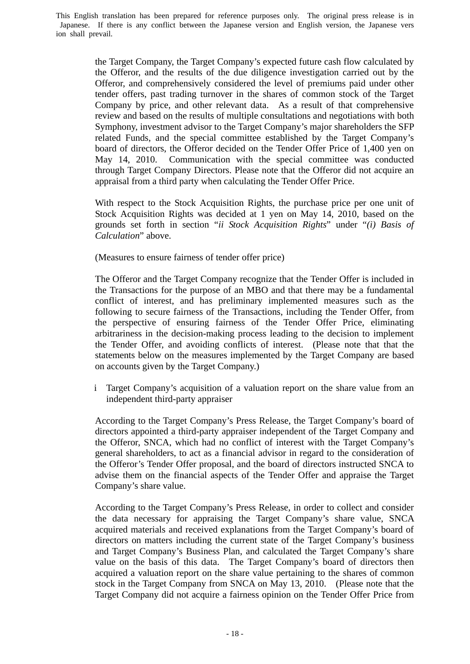> the Target Company, the Target Company's expected future cash flow calculated by the Offeror, and the results of the due diligence investigation carried out by the Offeror, and comprehensively considered the level of premiums paid under other tender offers, past trading turnover in the shares of common stock of the Target Company by price, and other relevant data. As a result of that comprehensive review and based on the results of multiple consultations and negotiations with both Symphony, investment advisor to the Target Company's major shareholders the SFP related Funds, and the special committee established by the Target Company's board of directors, the Offeror decided on the Tender Offer Price of 1,400 yen on May 14, 2010. Communication with the special committee was conducted through Target Company Directors. Please note that the Offeror did not acquire an appraisal from a third party when calculating the Tender Offer Price.

> With respect to the Stock Acquisition Rights, the purchase price per one unit of Stock Acquisition Rights was decided at 1 yen on May 14, 2010, based on the grounds set forth in section "*ii Stock Acquisition Rights*" under "*(i) Basis of Calculation*" above.

(Measures to ensure fairness of tender offer price)

The Offeror and the Target Company recognize that the Tender Offer is included in the Transactions for the purpose of an MBO and that there may be a fundamental conflict of interest, and has preliminary implemented measures such as the following to secure fairness of the Transactions, including the Tender Offer, from the perspective of ensuring fairness of the Tender Offer Price, eliminating arbitrariness in the decision-making process leading to the decision to implement the Tender Offer, and avoiding conflicts of interest. (Please note that that the statements below on the measures implemented by the Target Company are based on accounts given by the Target Company.)

i Target Company's acquisition of a valuation report on the share value from an independent third-party appraiser

According to the Target Company's Press Release, the Target Company's board of directors appointed a third-party appraiser independent of the Target Company and the Offeror, SNCA, which had no conflict of interest with the Target Company's general shareholders, to act as a financial advisor in regard to the consideration of the Offeror's Tender Offer proposal, and the board of directors instructed SNCA to advise them on the financial aspects of the Tender Offer and appraise the Target Company's share value.

According to the Target Company's Press Release, in order to collect and consider the data necessary for appraising the Target Company's share value, SNCA acquired materials and received explanations from the Target Company's board of directors on matters including the current state of the Target Company's business and Target Company's Business Plan, and calculated the Target Company's share value on the basis of this data. The Target Company's board of directors then acquired a valuation report on the share value pertaining to the shares of common stock in the Target Company from SNCA on May 13, 2010. (Please note that the Target Company did not acquire a fairness opinion on the Tender Offer Price from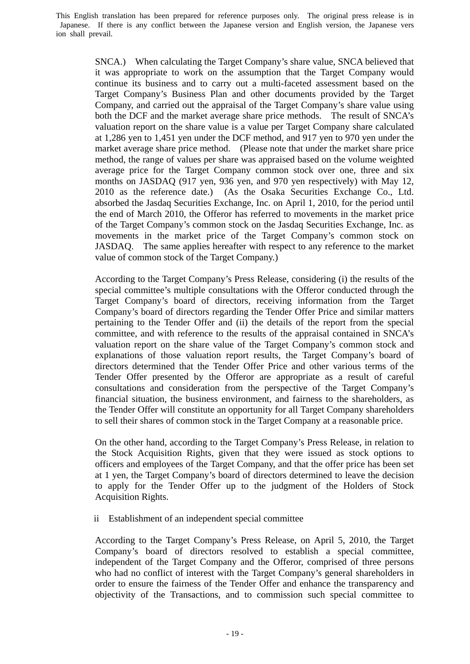> SNCA.) When calculating the Target Company's share value, SNCA believed that it was appropriate to work on the assumption that the Target Company would continue its business and to carry out a multi-faceted assessment based on the Target Company's Business Plan and other documents provided by the Target Company, and carried out the appraisal of the Target Company's share value using both the DCF and the market average share price methods. The result of SNCA's valuation report on the share value is a value per Target Company share calculated at 1,286 yen to 1,451 yen under the DCF method, and 917 yen to 970 yen under the market average share price method. (Please note that under the market share price method, the range of values per share was appraised based on the volume weighted average price for the Target Company common stock over one, three and six months on JASDAQ (917 yen, 936 yen, and 970 yen respectively) with May 12, 2010 as the reference date.) (As the Osaka Securities Exchange Co., Ltd. absorbed the Jasdaq Securities Exchange, Inc. on April 1, 2010, for the period until the end of March 2010, the Offeror has referred to movements in the market price of the Target Company's common stock on the Jasdaq Securities Exchange, Inc. as movements in the market price of the Target Company's common stock on JASDAQ. The same applies hereafter with respect to any reference to the market value of common stock of the Target Company.)

> According to the Target Company's Press Release, considering (i) the results of the special committee's multiple consultations with the Offeror conducted through the Target Company's board of directors, receiving information from the Target Company's board of directors regarding the Tender Offer Price and similar matters pertaining to the Tender Offer and (ii) the details of the report from the special committee, and with reference to the results of the appraisal contained in SNCA's valuation report on the share value of the Target Company's common stock and explanations of those valuation report results, the Target Company's board of directors determined that the Tender Offer Price and other various terms of the Tender Offer presented by the Offeror are appropriate as a result of careful consultations and consideration from the perspective of the Target Company's financial situation, the business environment, and fairness to the shareholders, as the Tender Offer will constitute an opportunity for all Target Company shareholders to sell their shares of common stock in the Target Company at a reasonable price.

> On the other hand, according to the Target Company's Press Release, in relation to the Stock Acquisition Rights, given that they were issued as stock options to officers and employees of the Target Company, and that the offer price has been set at 1 yen, the Target Company's board of directors determined to leave the decision to apply for the Tender Offer up to the judgment of the Holders of Stock Acquisition Rights.

ii Establishment of an independent special committee

According to the Target Company's Press Release, on April 5, 2010, the Target Company's board of directors resolved to establish a special committee, independent of the Target Company and the Offeror, comprised of three persons who had no conflict of interest with the Target Company's general shareholders in order to ensure the fairness of the Tender Offer and enhance the transparency and objectivity of the Transactions, and to commission such special committee to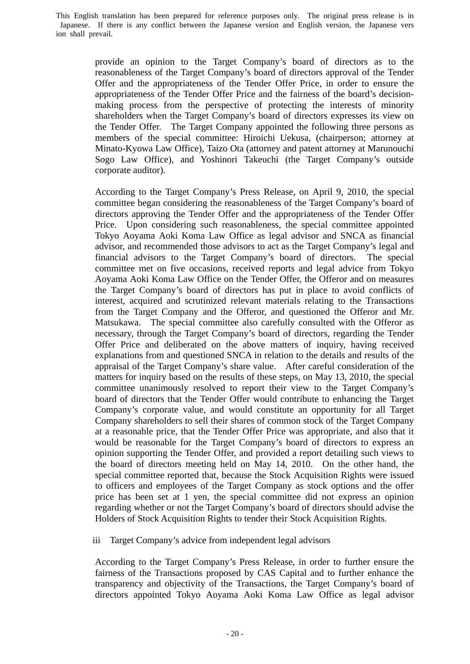> provide an opinion to the Target Company's board of directors as to the reasonableness of the Target Company's board of directors approval of the Tender Offer and the appropriateness of the Tender Offer Price, in order to ensure the appropriateness of the Tender Offer Price and the fairness of the board's decisionmaking process from the perspective of protecting the interests of minority shareholders when the Target Company's board of directors expresses its view on the Tender Offer. The Target Company appointed the following three persons as members of the special committee: Hiroichi Uekusa, (chairperson; attorney at Minato-Kyowa Law Office), Taizo Ota (attorney and patent attorney at Marunouchi Sogo Law Office), and Yoshinori Takeuchi (the Target Company's outside corporate auditor).

> According to the Target Company's Press Release, on April 9, 2010, the special committee began considering the reasonableness of the Target Company's board of directors approving the Tender Offer and the appropriateness of the Tender Offer Price. Upon considering such reasonableness, the special committee appointed Tokyo Aoyama Aoki Koma Law Office as legal advisor and SNCA as financial advisor, and recommended those advisors to act as the Target Company's legal and financial advisors to the Target Company's board of directors. The special committee met on five occasions, received reports and legal advice from Tokyo Aoyama Aoki Koma Law Office on the Tender Offer, the Offeror and on measures the Target Company's board of directors has put in place to avoid conflicts of interest, acquired and scrutinized relevant materials relating to the Transactions from the Target Company and the Offeror, and questioned the Offeror and Mr. Matsukawa. The special committee also carefully consulted with the Offeror as necessary, through the Target Company's board of directors, regarding the Tender Offer Price and deliberated on the above matters of inquiry, having received explanations from and questioned SNCA in relation to the details and results of the appraisal of the Target Company's share value. After careful consideration of the matters for inquiry based on the results of these steps, on May 13, 2010, the special committee unanimously resolved to report their view to the Target Company's board of directors that the Tender Offer would contribute to enhancing the Target Company's corporate value, and would constitute an opportunity for all Target Company shareholders to sell their shares of common stock of the Target Company at a reasonable price, that the Tender Offer Price was appropriate, and also that it would be reasonable for the Target Company's board of directors to express an opinion supporting the Tender Offer, and provided a report detailing such views to the board of directors meeting held on May 14, 2010. On the other hand, the special committee reported that, because the Stock Acquisition Rights were issued to officers and employees of the Target Company as stock options and the offer price has been set at 1 yen, the special committee did not express an opinion regarding whether or not the Target Company's board of directors should advise the Holders of Stock Acquisition Rights to tender their Stock Acquisition Rights.

iii Target Company's advice from independent legal advisors

According to the Target Company's Press Release, in order to further ensure the fairness of the Transactions proposed by CAS Capital and to further enhance the transparency and objectivity of the Transactions, the Target Company's board of directors appointed Tokyo Aoyama Aoki Koma Law Office as legal advisor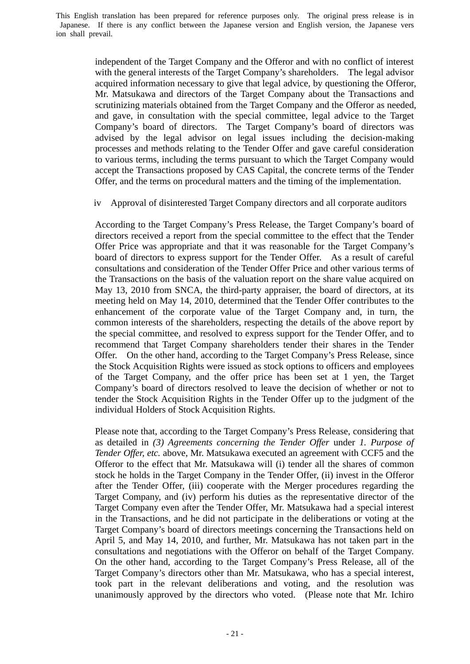> independent of the Target Company and the Offeror and with no conflict of interest with the general interests of the Target Company's shareholders. The legal advisor acquired information necessary to give that legal advice, by questioning the Offeror, Mr. Matsukawa and directors of the Target Company about the Transactions and scrutinizing materials obtained from the Target Company and the Offeror as needed, and gave, in consultation with the special committee, legal advice to the Target Company's board of directors. The Target Company's board of directors was advised by the legal advisor on legal issues including the decision-making processes and methods relating to the Tender Offer and gave careful consideration to various terms, including the terms pursuant to which the Target Company would accept the Transactions proposed by CAS Capital, the concrete terms of the Tender Offer, and the terms on procedural matters and the timing of the implementation.

iv Approval of disinterested Target Company directors and all corporate auditors

According to the Target Company's Press Release, the Target Company's board of directors received a report from the special committee to the effect that the Tender Offer Price was appropriate and that it was reasonable for the Target Company's board of directors to express support for the Tender Offer. As a result of careful consultations and consideration of the Tender Offer Price and other various terms of the Transactions on the basis of the valuation report on the share value acquired on May 13, 2010 from SNCA, the third-party appraiser, the board of directors, at its meeting held on May 14, 2010, determined that the Tender Offer contributes to the enhancement of the corporate value of the Target Company and, in turn, the common interests of the shareholders, respecting the details of the above report by the special committee, and resolved to express support for the Tender Offer, and to recommend that Target Company shareholders tender their shares in the Tender Offer. On the other hand, according to the Target Company's Press Release, since the Stock Acquisition Rights were issued as stock options to officers and employees of the Target Company, and the offer price has been set at 1 yen, the Target Company's board of directors resolved to leave the decision of whether or not to tender the Stock Acquisition Rights in the Tender Offer up to the judgment of the individual Holders of Stock Acquisition Rights.

Please note that, according to the Target Company's Press Release, considering that as detailed in *(3) Agreements concerning the Tender Offer* under *1. Purpose of Tender Offer, etc.* above, Mr. Matsukawa executed an agreement with CCF5 and the Offeror to the effect that Mr. Matsukawa will (i) tender all the shares of common stock he holds in the Target Company in the Tender Offer, (ii) invest in the Offeror after the Tender Offer, (iii) cooperate with the Merger procedures regarding the Target Company, and (iv) perform his duties as the representative director of the Target Company even after the Tender Offer, Mr. Matsukawa had a special interest in the Transactions, and he did not participate in the deliberations or voting at the Target Company's board of directors meetings concerning the Transactions held on April 5, and May 14, 2010, and further, Mr. Matsukawa has not taken part in the consultations and negotiations with the Offeror on behalf of the Target Company. On the other hand, according to the Target Company's Press Release, all of the Target Company's directors other than Mr. Matsukawa, who has a special interest, took part in the relevant deliberations and voting, and the resolution was unanimously approved by the directors who voted. (Please note that Mr. Ichiro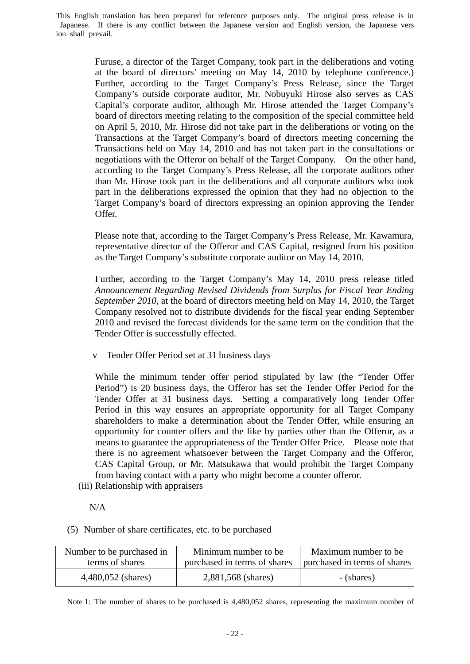> Furuse, a director of the Target Company, took part in the deliberations and voting at the board of directors' meeting on May 14, 2010 by telephone conference.) Further, according to the Target Company's Press Release, since the Target Company's outside corporate auditor, Mr. Nobuyuki Hirose also serves as CAS Capital's corporate auditor, although Mr. Hirose attended the Target Company's board of directors meeting relating to the composition of the special committee held on April 5, 2010, Mr. Hirose did not take part in the deliberations or voting on the Transactions at the Target Company's board of directors meeting concerning the Transactions held on May 14, 2010 and has not taken part in the consultations or negotiations with the Offeror on behalf of the Target Company. On the other hand, according to the Target Company's Press Release, all the corporate auditors other than Mr. Hirose took part in the deliberations and all corporate auditors who took part in the deliberations expressed the opinion that they had no objection to the Target Company's board of directors expressing an opinion approving the Tender Offer.

> Please note that, according to the Target Company's Press Release, Mr. Kawamura, representative director of the Offeror and CAS Capital, resigned from his position as the Target Company's substitute corporate auditor on May 14, 2010.

> Further, according to the Target Company's May 14, 2010 press release titled *Announcement Regarding Revised Dividends from Surplus for Fiscal Year Ending September 2010*, at the board of directors meeting held on May 14, 2010, the Target Company resolved not to distribute dividends for the fiscal year ending September 2010 and revised the forecast dividends for the same term on the condition that the Tender Offer is successfully effected.

v Tender Offer Period set at 31 business days

While the minimum tender offer period stipulated by law (the "Tender Offer Period") is 20 business days, the Offeror has set the Tender Offer Period for the Tender Offer at 31 business days. Setting a comparatively long Tender Offer Period in this way ensures an appropriate opportunity for all Target Company shareholders to make a determination about the Tender Offer, while ensuring an opportunity for counter offers and the like by parties other than the Offeror, as a means to guarantee the appropriateness of the Tender Offer Price. Please note that there is no agreement whatsoever between the Target Company and the Offeror, CAS Capital Group, or Mr. Matsukawa that would prohibit the Target Company from having contact with a party who might become a counter offeror.

(iii) Relationship with appraisers

N/A

(5) Number of share certificates, etc. to be purchased

| Number to be purchased in<br>terms of shares | Minimum number to be.<br>purchased in terms of shares | Maximum number to be<br>purchased in terms of shares |  |
|----------------------------------------------|-------------------------------------------------------|------------------------------------------------------|--|
|                                              |                                                       |                                                      |  |
| 4,480,052 (shares)                           | 2,881,568 (shares)                                    | - (shares)                                           |  |

Note 1: The number of shares to be purchased is 4,480,052 shares, representing the maximum number of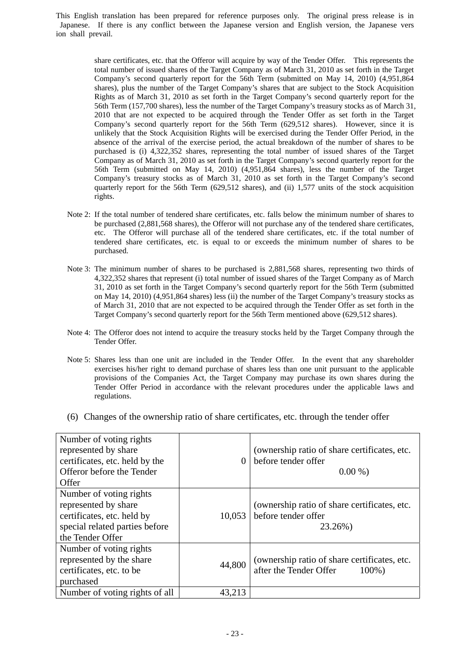> share certificates, etc. that the Offeror will acquire by way of the Tender Offer. This represents the total number of issued shares of the Target Company as of March 31, 2010 as set forth in the Target Company's second quarterly report for the 56th Term (submitted on May 14, 2010) (4,951,864 shares), plus the number of the Target Company's shares that are subject to the Stock Acquisition Rights as of March 31, 2010 as set forth in the Target Company's second quarterly report for the 56th Term (157,700 shares), less the number of the Target Company's treasury stocks as of March 31, 2010 that are not expected to be acquired through the Tender Offer as set forth in the Target Company's second quarterly report for the 56th Term (629,512 shares). However, since it is unlikely that the Stock Acquisition Rights will be exercised during the Tender Offer Period, in the absence of the arrival of the exercise period, the actual breakdown of the number of shares to be purchased is (i) 4,322,352 shares, representing the total number of issued shares of the Target Company as of March 31, 2010 as set forth in the Target Company's second quarterly report for the 56th Term (submitted on May 14, 2010) (4,951,864 shares), less the number of the Target Company's treasury stocks as of March 31, 2010 as set forth in the Target Company's second quarterly report for the 56th Term (629,512 shares), and (ii) 1,577 units of the stock acquisition rights.

- Note 2: If the total number of tendered share certificates, etc. falls below the minimum number of shares to be purchased (2,881,568 shares), the Offeror will not purchase any of the tendered share certificates, etc. The Offeror will purchase all of the tendered share certificates, etc. if the total number of tendered share certificates, etc. is equal to or exceeds the minimum number of shares to be purchased.
- Note 3: The minimum number of shares to be purchased is 2,881,568 shares, representing two thirds of 4,322,352 shares that represent (i) total number of issued shares of the Target Company as of March 31, 2010 as set forth in the Target Company's second quarterly report for the 56th Term (submitted on May 14, 2010) (4,951,864 shares) less (ii) the number of the Target Company's treasury stocks as of March 31, 2010 that are not expected to be acquired through the Tender Offer as set forth in the Target Company's second quarterly report for the 56th Term mentioned above (629,512 shares).
- Note 4: The Offeror does not intend to acquire the treasury stocks held by the Target Company through the Tender Offer.
- Note 5: Shares less than one unit are included in the Tender Offer. In the event that any shareholder exercises his/her right to demand purchase of shares less than one unit pursuant to the applicable provisions of the Companies Act, the Target Company may purchase its own shares during the Tender Offer Period in accordance with the relevant procedures under the applicable laws and regulations.
- (6) Changes of the ownership ratio of share certificates, etc. through the tender offer

| Number of voting rights<br>represented by share<br>certificates, etc. held by the<br>Offeror before the Tender<br>Offer             | 0      | (ownership ratio of share certificates, etc.<br>before tender offer<br>$0.00\%$     |
|-------------------------------------------------------------------------------------------------------------------------------------|--------|-------------------------------------------------------------------------------------|
| Number of voting rights<br>represented by share<br>certificates, etc. held by<br>special related parties before<br>the Tender Offer | 10,053 | (ownership ratio of share certificates, etc.)<br>before tender offer<br>23.26%)     |
| Number of voting rights<br>represented by the share<br>certificates, etc. to be<br>purchased                                        | 44,800 | (ownership ratio of share certificates, etc.<br>after the Tender Offer<br>$100\%$ ) |
| Number of voting rights of all                                                                                                      | 43,213 |                                                                                     |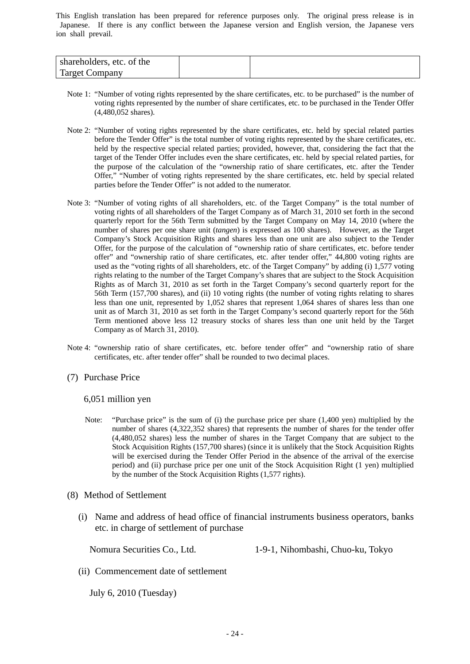| shareholders, etc. of the |  |
|---------------------------|--|
| Target C<br>`ompanv       |  |

- Note 1: "Number of voting rights represented by the share certificates, etc. to be purchased" is the number of voting rights represented by the number of share certificates, etc. to be purchased in the Tender Offer (4,480,052 shares).
- Note 2: "Number of voting rights represented by the share certificates, etc. held by special related parties before the Tender Offer" is the total number of voting rights represented by the share certificates, etc. held by the respective special related parties; provided, however, that, considering the fact that the target of the Tender Offer includes even the share certificates, etc. held by special related parties, for the purpose of the calculation of the "ownership ratio of share certificates, etc. after the Tender Offer," "Number of voting rights represented by the share certificates, etc. held by special related parties before the Tender Offer" is not added to the numerator.
- Note 3: "Number of voting rights of all shareholders, etc. of the Target Company" is the total number of voting rights of all shareholders of the Target Company as of March 31, 2010 set forth in the second quarterly report for the 56th Term submitted by the Target Company on May 14, 2010 (where the number of shares per one share unit (*tangen*) is expressed as 100 shares). However, as the Target Company's Stock Acquisition Rights and shares less than one unit are also subject to the Tender Offer, for the purpose of the calculation of "ownership ratio of share certificates, etc. before tender offer" and "ownership ratio of share certificates, etc. after tender offer," 44,800 voting rights are used as the "voting rights of all shareholders, etc. of the Target Company" by adding (i) 1,577 voting rights relating to the number of the Target Company's shares that are subject to the Stock Acquisition Rights as of March 31, 2010 as set forth in the Target Company's second quarterly report for the 56th Term (157,700 shares), and (ii) 10 voting rights (the number of voting rights relating to shares less than one unit, represented by 1,052 shares that represent 1,064 shares of shares less than one unit as of March 31, 2010 as set forth in the Target Company's second quarterly report for the 56th Term mentioned above less 12 treasury stocks of shares less than one unit held by the Target Company as of March 31, 2010).
- Note 4: "ownership ratio of share certificates, etc. before tender offer" and "ownership ratio of share certificates, etc. after tender offer" shall be rounded to two decimal places.
- (7) Purchase Price

#### 6,051 million yen

- Note: "Purchase price" is the sum of (i) the purchase price per share (1,400 yen) multiplied by the number of shares (4,322,352 shares) that represents the number of shares for the tender offer (4,480,052 shares) less the number of shares in the Target Company that are subject to the Stock Acquisition Rights (157,700 shares) (since it is unlikely that the Stock Acquisition Rights will be exercised during the Tender Offer Period in the absence of the arrival of the exercise period) and (ii) purchase price per one unit of the Stock Acquisition Right (1 yen) multiplied by the number of the Stock Acquisition Rights (1,577 rights).
- (8) Method of Settlement
	- (i) Name and address of head office of financial instruments business operators, banks etc. in charge of settlement of purchase

Nomura Securities Co., Ltd. 1-9-1, Nihombashi, Chuo-ku, Tokyo

(ii) Commencement date of settlement

July 6, 2010 (Tuesday)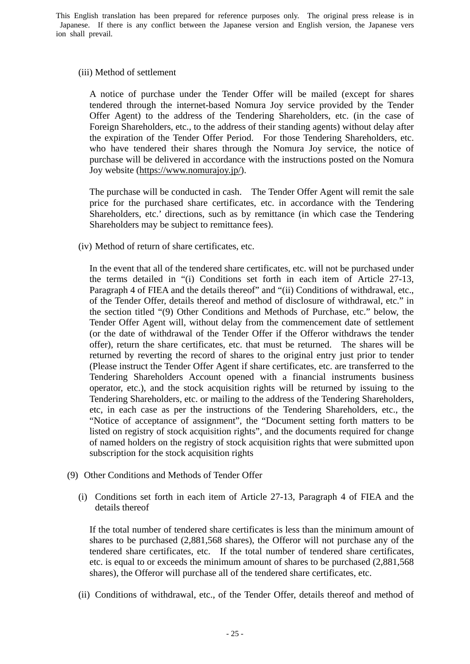#### (iii) Method of settlement

A notice of purchase under the Tender Offer will be mailed (except for shares tendered through the internet-based Nomura Joy service provided by the Tender Offer Agent) to the address of the Tendering Shareholders, etc. (in the case of Foreign Shareholders, etc., to the address of their standing agents) without delay after the expiration of the Tender Offer Period. For those Tendering Shareholders, etc. who have tendered their shares through the Nomura Joy service, the notice of purchase will be delivered in accordance with the instructions posted on the Nomura Joy website (https://www.nomurajoy.jp/).

The purchase will be conducted in cash. The Tender Offer Agent will remit the sale price for the purchased share certificates, etc. in accordance with the Tendering Shareholders, etc.' directions, such as by remittance (in which case the Tendering Shareholders may be subject to remittance fees).

(iv) Method of return of share certificates, etc.

In the event that all of the tendered share certificates, etc. will not be purchased under the terms detailed in "(i) Conditions set forth in each item of Article 27-13, Paragraph 4 of FIEA and the details thereof" and "(ii) Conditions of withdrawal, etc., of the Tender Offer, details thereof and method of disclosure of withdrawal, etc." in the section titled "(9) Other Conditions and Methods of Purchase, etc." below, the Tender Offer Agent will, without delay from the commencement date of settlement (or the date of withdrawal of the Tender Offer if the Offeror withdraws the tender offer), return the share certificates, etc. that must be returned. The shares will be returned by reverting the record of shares to the original entry just prior to tender (Please instruct the Tender Offer Agent if share certificates, etc. are transferred to the Tendering Shareholders Account opened with a financial instruments business operator, etc.), and the stock acquisition rights will be returned by issuing to the Tendering Shareholders, etc. or mailing to the address of the Tendering Shareholders, etc, in each case as per the instructions of the Tendering Shareholders, etc., the "Notice of acceptance of assignment", the "Document setting forth matters to be listed on registry of stock acquisition rights", and the documents required for change of named holders on the registry of stock acquisition rights that were submitted upon subscription for the stock acquisition rights

- (9) Other Conditions and Methods of Tender Offer
	- (i) Conditions set forth in each item of Article 27-13, Paragraph 4 of FIEA and the details thereof

If the total number of tendered share certificates is less than the minimum amount of shares to be purchased (2,881,568 shares), the Offeror will not purchase any of the tendered share certificates, etc. If the total number of tendered share certificates, etc. is equal to or exceeds the minimum amount of shares to be purchased (2,881,568 shares), the Offeror will purchase all of the tendered share certificates, etc.

(ii) Conditions of withdrawal, etc., of the Tender Offer, details thereof and method of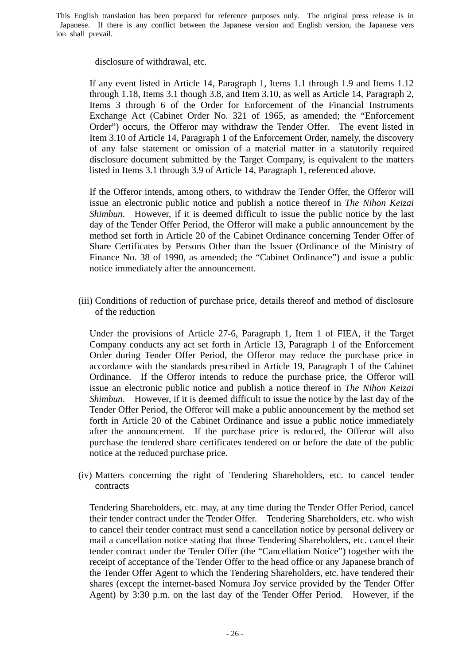disclosure of withdrawal, etc.

If any event listed in Article 14, Paragraph 1, Items 1.1 through 1.9 and Items 1.12 through 1.18, Items 3.1 though 3.8, and Item 3.10, as well as Article 14, Paragraph 2, Items 3 through 6 of the Order for Enforcement of the Financial Instruments Exchange Act (Cabinet Order No. 321 of 1965, as amended; the "Enforcement Order") occurs, the Offeror may withdraw the Tender Offer. The event listed in Item 3.10 of Article 14, Paragraph 1 of the Enforcement Order, namely, the discovery of any false statement or omission of a material matter in a statutorily required disclosure document submitted by the Target Company, is equivalent to the matters listed in Items 3.1 through 3.9 of Article 14, Paragraph 1, referenced above.

If the Offeror intends, among others, to withdraw the Tender Offer, the Offeror will issue an electronic public notice and publish a notice thereof in *The Nihon Keizai Shimbun*. However, if it is deemed difficult to issue the public notice by the last day of the Tender Offer Period, the Offeror will make a public announcement by the method set forth in Article 20 of the Cabinet Ordinance concerning Tender Offer of Share Certificates by Persons Other than the Issuer (Ordinance of the Ministry of Finance No. 38 of 1990, as amended; the "Cabinet Ordinance") and issue a public notice immediately after the announcement.

(iii) Conditions of reduction of purchase price, details thereof and method of disclosure of the reduction

Under the provisions of Article 27-6, Paragraph 1, Item 1 of FIEA, if the Target Company conducts any act set forth in Article 13, Paragraph 1 of the Enforcement Order during Tender Offer Period, the Offeror may reduce the purchase price in accordance with the standards prescribed in Article 19, Paragraph 1 of the Cabinet Ordinance. If the Offeror intends to reduce the purchase price, the Offeror will issue an electronic public notice and publish a notice thereof in *The Nihon Keizai Shimbun*. However, if it is deemed difficult to issue the notice by the last day of the Tender Offer Period, the Offeror will make a public announcement by the method set forth in Article 20 of the Cabinet Ordinance and issue a public notice immediately after the announcement. If the purchase price is reduced, the Offeror will also purchase the tendered share certificates tendered on or before the date of the public notice at the reduced purchase price.

(iv) Matters concerning the right of Tendering Shareholders, etc. to cancel tender contracts

Tendering Shareholders, etc. may, at any time during the Tender Offer Period, cancel their tender contract under the Tender Offer. Tendering Shareholders, etc. who wish to cancel their tender contract must send a cancellation notice by personal delivery or mail a cancellation notice stating that those Tendering Shareholders, etc. cancel their tender contract under the Tender Offer (the "Cancellation Notice") together with the receipt of acceptance of the Tender Offer to the head office or any Japanese branch of the Tender Offer Agent to which the Tendering Shareholders, etc. have tendered their shares (except the internet-based Nomura Joy service provided by the Tender Offer Agent) by 3:30 p.m. on the last day of the Tender Offer Period. However, if the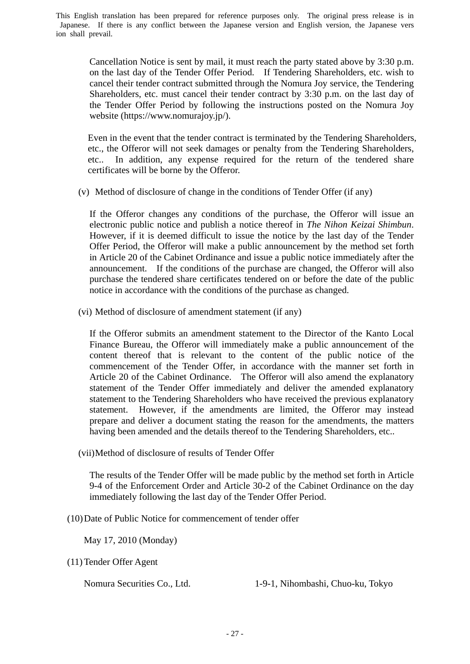Cancellation Notice is sent by mail, it must reach the party stated above by 3:30 p.m. on the last day of the Tender Offer Period. If Tendering Shareholders, etc. wish to cancel their tender contract submitted through the Nomura Joy service, the Tendering Shareholders, etc. must cancel their tender contract by 3:30 p.m. on the last day of the Tender Offer Period by following the instructions posted on the Nomura Joy website (https://www.nomurajoy.jp/).

Even in the event that the tender contract is terminated by the Tendering Shareholders, etc., the Offeror will not seek damages or penalty from the Tendering Shareholders, etc.. In addition, any expense required for the return of the tendered share certificates will be borne by the Offeror.

(v) Method of disclosure of change in the conditions of Tender Offer (if any)

If the Offeror changes any conditions of the purchase, the Offeror will issue an electronic public notice and publish a notice thereof in *The Nihon Keizai Shimbun*. However, if it is deemed difficult to issue the notice by the last day of the Tender Offer Period, the Offeror will make a public announcement by the method set forth in Article 20 of the Cabinet Ordinance and issue a public notice immediately after the announcement. If the conditions of the purchase are changed, the Offeror will also purchase the tendered share certificates tendered on or before the date of the public notice in accordance with the conditions of the purchase as changed.

(vi) Method of disclosure of amendment statement (if any)

If the Offeror submits an amendment statement to the Director of the Kanto Local Finance Bureau, the Offeror will immediately make a public announcement of the content thereof that is relevant to the content of the public notice of the commencement of the Tender Offer, in accordance with the manner set forth in Article 20 of the Cabinet Ordinance. The Offeror will also amend the explanatory statement of the Tender Offer immediately and deliver the amended explanatory statement to the Tendering Shareholders who have received the previous explanatory statement. However, if the amendments are limited, the Offeror may instead prepare and deliver a document stating the reason for the amendments, the matters having been amended and the details thereof to the Tendering Shareholders, etc..

(vii) Method of disclosure of results of Tender Offer

The results of the Tender Offer will be made public by the method set forth in Article 9-4 of the Enforcement Order and Article 30-2 of the Cabinet Ordinance on the day immediately following the last day of the Tender Offer Period.

(10) Date of Public Notice for commencement of tender offer

May 17, 2010 (Monday)

(11) Tender Offer Agent

Nomura Securities Co., Ltd. 1-9-1, Nihombashi, Chuo-ku, Tokyo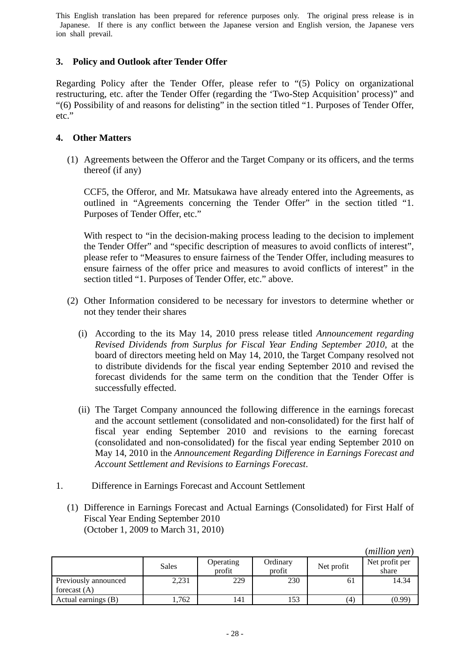# **3. Policy and Outlook after Tender Offer**

Regarding Policy after the Tender Offer, please refer to "(5) Policy on organizational restructuring, etc. after the Tender Offer (regarding the 'Two-Step Acquisition' process)" and "(6) Possibility of and reasons for delisting" in the section titled "1. Purposes of Tender Offer, etc."

# **4. Other Matters**

(1) Agreements between the Offeror and the Target Company or its officers, and the terms thereof (if any)

CCF5, the Offeror, and Mr. Matsukawa have already entered into the Agreements, as outlined in "Agreements concerning the Tender Offer" in the section titled "1. Purposes of Tender Offer, etc."

With respect to "in the decision-making process leading to the decision to implement the Tender Offer" and "specific description of measures to avoid conflicts of interest", please refer to "Measures to ensure fairness of the Tender Offer, including measures to ensure fairness of the offer price and measures to avoid conflicts of interest" in the section titled "1. Purposes of Tender Offer, etc." above.

- (2) Other Information considered to be necessary for investors to determine whether or not they tender their shares
	- (i) According to the its May 14, 2010 press release titled *Announcement regarding Revised Dividends from Surplus for Fiscal Year Ending September 2010*, at the board of directors meeting held on May 14, 2010, the Target Company resolved not to distribute dividends for the fiscal year ending September 2010 and revised the forecast dividends for the same term on the condition that the Tender Offer is successfully effected.
	- (ii) The Target Company announced the following difference in the earnings forecast and the account settlement (consolidated and non-consolidated) for the first half of fiscal year ending September 2010 and revisions to the earning forecast (consolidated and non-consolidated) for the fiscal year ending September 2010 on May 14, 2010 in the *Announcement Regarding Difference in Earnings Forecast and Account Settlement and Revisions to Earnings Forecast*.
- 1. Difference in Earnings Forecast and Account Settlement
	- (1) Difference in Earnings Forecast and Actual Earnings (Consolidated) for First Half of Fiscal Year Ending September 2010 (October 1, 2009 to March 31, 2010)

|                                        |       |                     |                    |            | (muuon ven)             |
|----------------------------------------|-------|---------------------|--------------------|------------|-------------------------|
|                                        | Sales | Operating<br>profit | Ordinary<br>profit | Net profit | Net profit per<br>share |
| Previously announced<br>forecast $(A)$ | 2,231 | 229                 | 230                | 61         | 14.34                   |
| Actual earnings (B)                    | .762  | 141                 | 153                | (4)        | (0.99)                  |

(*million yen*)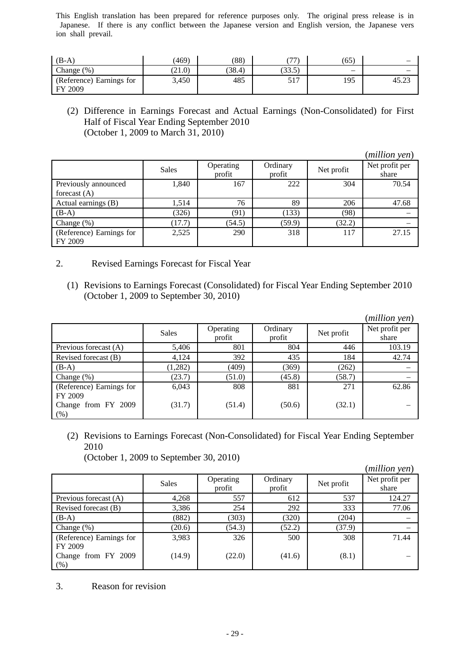| $(B-A)$                             | (469)  | (88)   | 777.         | (65)                     |       |
|-------------------------------------|--------|--------|--------------|--------------------------|-------|
| Change $(\%)$                       | (21.0) | (38.4) | (33.5)       | $\overline{\phantom{0}}$ |       |
| (Reference) Earnings for<br>FY 2009 | 3,450  | 485    | 517<br>، د د | 195                      | 45.23 |

(2) Difference in Earnings Forecast and Actual Earnings (Non-Consolidated) for First Half of Fiscal Year Ending September 2010 (October 1, 2009 to March 31, 2010)

|                                     |       |                     |                    |            | (million yen)           |
|-------------------------------------|-------|---------------------|--------------------|------------|-------------------------|
|                                     | Sales | Operating<br>profit | Ordinary<br>profit | Net profit | Net profit per<br>share |
| Previously announced                | 1,840 | 167                 | 222                | 304        | 70.54                   |
| forecast $(A)$                      |       |                     |                    |            |                         |
| Actual earnings (B)                 | 1.514 | 76                  | 89                 | 206        | 47.68                   |
| $(B-A)$                             | (326) | (91)                | (133)              | (98)       |                         |
| Change $(\%)$                       | 17.7) | (54.5)              | (59.9)             | (32.2)     |                         |
| (Reference) Earnings for<br>FY 2009 | 2,525 | 290                 | 318                | 117        | 27.15                   |

- 2. Revised Earnings Forecast for Fiscal Year
	- (1) Revisions to Earnings Forecast (Consolidated) for Fiscal Year Ending September 2010 (October 1, 2009 to September 30, 2010)

|                                     |         |                     |                    |            | (million yen)           |
|-------------------------------------|---------|---------------------|--------------------|------------|-------------------------|
|                                     | Sales   | Operating<br>profit | Ordinary<br>profit | Net profit | Net profit per<br>share |
| Previous forecast (A)               | 5,406   | 801                 | 804                | 446        | 103.19                  |
| Revised forecast (B)                | 4,124   | 392                 | 435                | 184        | 42.74                   |
| $(B-A)$                             | (1,282) | (409)               | (369)              | (262)      |                         |
| Change $(\%)$                       | (23.7)  | (51.0)              | (45.8)             | (58.7)     |                         |
| (Reference) Earnings for<br>FY 2009 | 6,043   | 808                 | 881                | 271        | 62.86                   |
| Change from FY 2009<br>(% )         | (31.7)  | (51.4)              | (50.6)             | (32.1)     |                         |

(2) Revisions to Earnings Forecast (Non-Consolidated) for Fiscal Year Ending September 2010

(October 1, 2009 to September 30, 2010)

|                                        |        |                     |                    |            | (million yen)           |
|----------------------------------------|--------|---------------------|--------------------|------------|-------------------------|
|                                        | Sales  | Operating<br>profit | Ordinary<br>profit | Net profit | Net profit per<br>share |
| Previous forecast (A)                  | 4,268  | 557                 | 612                | 537        | 124.27                  |
| Revised forecast (B)                   | 3,386  | 254                 | 292                | 333        | 77.06                   |
| $(B-A)$                                | (882)  | (303)               | (320)              | (204)      |                         |
| Change $(\%)$                          | (20.6) | (54.3)              | (52.2)             | (37.9)     |                         |
| (Reference) Earnings for               | 3,983  | 326                 | 500                | 308        | 71.44                   |
| FY 2009<br>Change from FY 2009<br>(% ) | (14.9) | (22.0)              | (41.6)             | (8.1)      |                         |

3. Reason for revision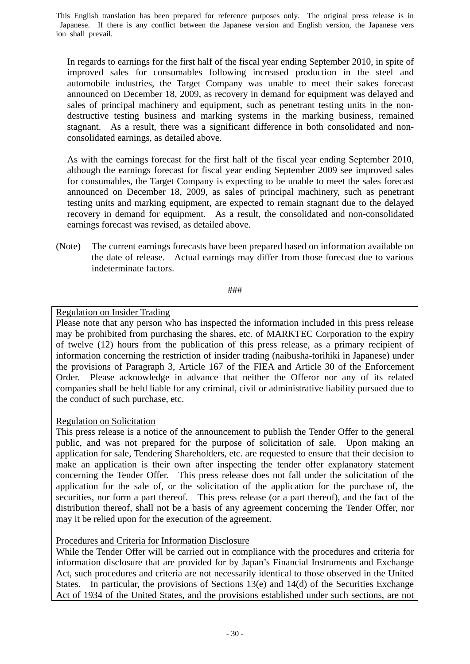In regards to earnings for the first half of the fiscal year ending September 2010, in spite of improved sales for consumables following increased production in the steel and automobile industries, the Target Company was unable to meet their sakes forecast announced on December 18, 2009, as recovery in demand for equipment was delayed and sales of principal machinery and equipment, such as penetrant testing units in the nondestructive testing business and marking systems in the marking business, remained stagnant. As a result, there was a significant difference in both consolidated and nonconsolidated earnings, as detailed above.

As with the earnings forecast for the first half of the fiscal year ending September 2010, although the earnings forecast for fiscal year ending September 2009 see improved sales for consumables, the Target Company is expecting to be unable to meet the sales forecast announced on December 18, 2009, as sales of principal machinery, such as penetrant testing units and marking equipment, are expected to remain stagnant due to the delayed recovery in demand for equipment. As a result, the consolidated and non-consolidated earnings forecast was revised, as detailed above.

(Note) The current earnings forecasts have been prepared based on information available on the date of release. Actual earnings may differ from those forecast due to various indeterminate factors.

###

# Regulation on Insider Trading

Please note that any person who has inspected the information included in this press release may be prohibited from purchasing the shares, etc. of MARKTEC Corporation to the expiry of twelve (12) hours from the publication of this press release, as a primary recipient of information concerning the restriction of insider trading (naibusha-torihiki in Japanese) under the provisions of Paragraph 3, Article 167 of the FIEA and Article 30 of the Enforcement Order. Please acknowledge in advance that neither the Offeror nor any of its related companies shall be held liable for any criminal, civil or administrative liability pursued due to the conduct of such purchase, etc.

# Regulation on Solicitation

This press release is a notice of the announcement to publish the Tender Offer to the general public, and was not prepared for the purpose of solicitation of sale. Upon making an application for sale, Tendering Shareholders, etc. are requested to ensure that their decision to make an application is their own after inspecting the tender offer explanatory statement concerning the Tender Offer. This press release does not fall under the solicitation of the application for the sale of, or the solicitation of the application for the purchase of, the securities, nor form a part thereof. This press release (or a part thereof), and the fact of the distribution thereof, shall not be a basis of any agreement concerning the Tender Offer, nor may it be relied upon for the execution of the agreement.

# Procedures and Criteria for Information Disclosure

While the Tender Offer will be carried out in compliance with the procedures and criteria for information disclosure that are provided for by Japan's Financial Instruments and Exchange Act, such procedures and criteria are not necessarily identical to those observed in the United States. In particular, the provisions of Sections 13(e) and 14(d) of the Securities Exchange Act of 1934 of the United States, and the provisions established under such sections, are not